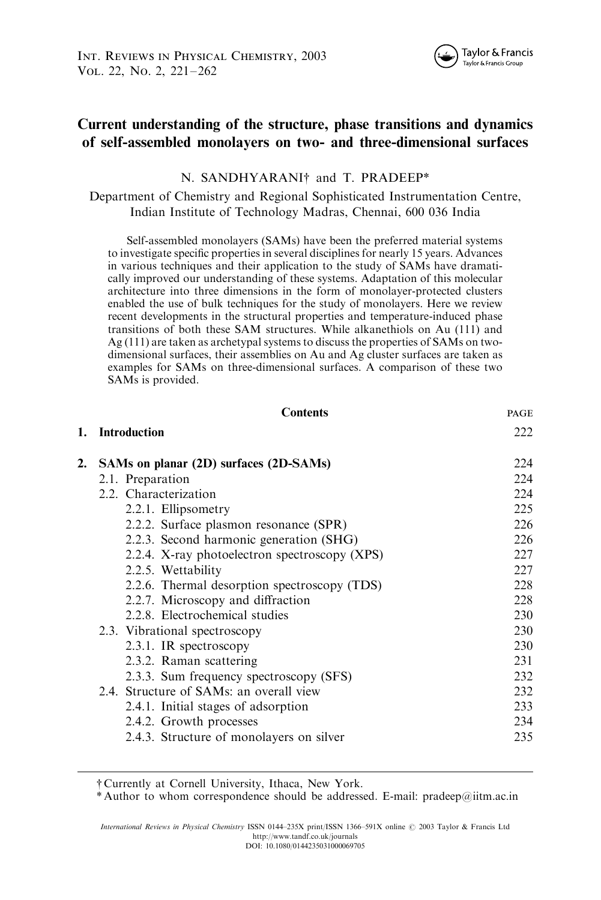# Current understanding of the structure, phase transitions and dynamics of self-assembled monolayers on two- and three-dimensional surfaces

# N. SANDHYARANI<sup>†</sup> and T. PRADEEP\*

Department of Chemistry and Regional Sophisticated Instrumentation Centre, Indian Institute of Technology Madras, Chennai, 600 036 India

Self-assembled monolayers (SAMs) have been the preferred material systems to investigate specific properties in several disciplines for nearly 15 years. Advances in various techniques and their application to the study of SAMs have dramatically improved our understanding of these systems. Adaptation of this molecular architecture into three dimensions in the form of monolayer-protected clusters enabled the use of bulk techniques for the study of monolayers. Here we review recent developments in the structural properties and temperature-induced phase transitions of both these SAM structures. While alkanethiols on Au (111) and Ag (111) are taken as archetypal systems to discuss the properties of SAMs on twodimensional surfaces, their assemblies on Au and Ag cluster surfaces are taken as examples for SAMs on three-dimensional surfaces. A comparison of these two SAMs is provided.

|    | <b>Contents</b>                               | PAGE |
|----|-----------------------------------------------|------|
| 1. | <b>Introduction</b>                           | 222  |
| 2. | SAMs on planar (2D) surfaces (2D-SAMs)        | 224  |
|    | 2.1. Preparation                              | 224  |
|    | 2.2. Characterization                         | 224  |
|    | 2.2.1. Ellipsometry                           | 225  |
|    | 2.2.2. Surface plasmon resonance (SPR)        | 226  |
|    | 2.2.3. Second harmonic generation (SHG)       | 226  |
|    | 2.2.4. X-ray photoelectron spectroscopy (XPS) | 227  |
|    | 2.2.5. Wettability                            | 227  |
|    | 2.2.6. Thermal desorption spectroscopy (TDS)  | 228  |
|    | 2.2.7. Microscopy and diffraction             | 228  |
|    | 2.2.8. Electrochemical studies                | 230  |
|    | 2.3. Vibrational spectroscopy                 | 230  |
|    | 2.3.1. IR spectroscopy                        | 230  |
|    | 2.3.2. Raman scattering                       | 231  |
|    | 2.3.3. Sum frequency spectroscopy (SFS)       | 232  |
|    | 2.4. Structure of SAMs: an overall view       | 232  |
|    | 2.4.1. Initial stages of adsorption           | 233  |
|    | 2.4.2. Growth processes                       | 234  |
|    | 2.4.3. Structure of monolayers on silver      | 235  |

\* Author to whom correspondence should be addressed. E-mail: pradeep@iitm.ac.in

<sup>{</sup> Currently at Cornell University, Ithaca, New York.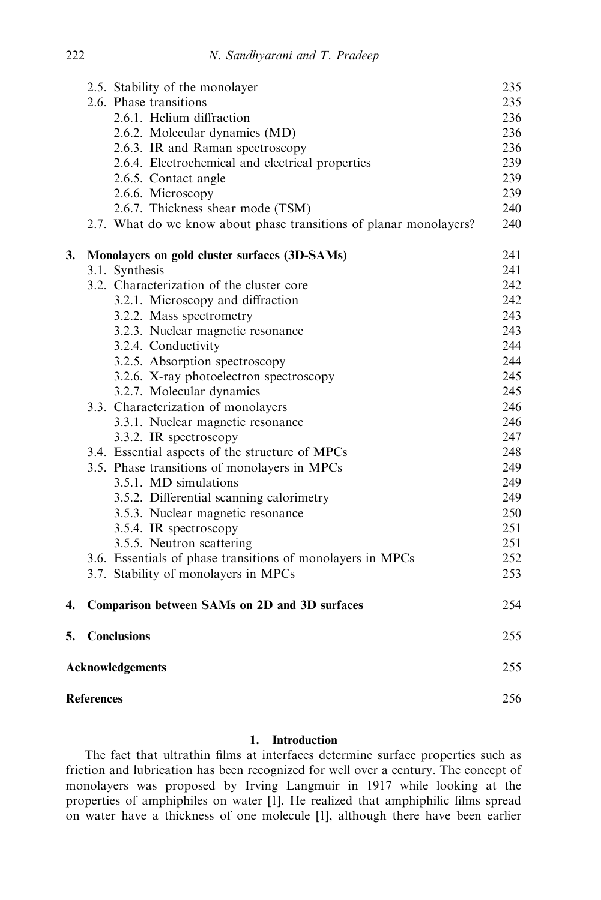|    |                                | 2.5. Stability of the monolayer                                    | 235 |
|----|--------------------------------|--------------------------------------------------------------------|-----|
|    |                                | 2.6. Phase transitions                                             | 235 |
|    |                                | 2.6.1. Helium diffraction                                          | 236 |
|    |                                | 2.6.2. Molecular dynamics (MD)                                     | 236 |
|    |                                | 2.6.3. IR and Raman spectroscopy                                   | 236 |
|    |                                | 2.6.4. Electrochemical and electrical properties                   | 239 |
|    |                                | 2.6.5. Contact angle                                               | 239 |
|    |                                | 2.6.6. Microscopy                                                  | 239 |
|    |                                | 2.6.7. Thickness shear mode (TSM)                                  | 240 |
|    |                                | 2.7. What do we know about phase transitions of planar monolayers? | 240 |
| 3. |                                | Monolayers on gold cluster surfaces (3D-SAMs)                      | 241 |
|    |                                | 3.1. Synthesis                                                     | 241 |
|    |                                | 3.2. Characterization of the cluster core                          | 242 |
|    |                                | 3.2.1. Microscopy and diffraction                                  | 242 |
|    |                                | 3.2.2. Mass spectrometry                                           | 243 |
|    |                                | 3.2.3. Nuclear magnetic resonance                                  | 243 |
|    |                                | 3.2.4. Conductivity                                                | 244 |
|    |                                | 3.2.5. Absorption spectroscopy                                     | 244 |
|    |                                | 3.2.6. X-ray photoelectron spectroscopy                            | 245 |
|    |                                | 3.2.7. Molecular dynamics                                          | 245 |
|    |                                | 3.3. Characterization of monolayers                                | 246 |
|    |                                | 3.3.1. Nuclear magnetic resonance                                  | 246 |
|    |                                | 3.3.2. IR spectroscopy                                             | 247 |
|    |                                | 3.4. Essential aspects of the structure of MPCs                    | 248 |
|    |                                | 3.5. Phase transitions of monolayers in MPCs                       | 249 |
|    |                                | 3.5.1. MD simulations                                              | 249 |
|    |                                | 3.5.2. Differential scanning calorimetry                           | 249 |
|    |                                | 3.5.3. Nuclear magnetic resonance                                  | 250 |
|    |                                | 3.5.4. IR spectroscopy                                             | 251 |
|    |                                | 3.5.5. Neutron scattering                                          | 251 |
|    |                                | 3.6. Essentials of phase transitions of monolayers in MPCs         | 252 |
|    |                                | 3.7. Stability of monolayers in MPCs                               | 253 |
| 4. |                                | Comparison between SAMs on 2D and 3D surfaces                      | 254 |
| 5. |                                | <b>Conclusions</b>                                                 | 255 |
|    | 255<br><b>Acknowledgements</b> |                                                                    |     |
|    | <b>References</b>              |                                                                    |     |

# 1. Introduction

The fact that ultrathin films at interfaces determine surface properties such as friction and lubrication has been recognized for well over a century. The concept of monolayers was proposed by Irving Langmuir in 1917 while looking at the properties of amphiphiles on water [1]. He realized that amphiphilic films spread on water have a thickness of one molecule [1], although there have been earlier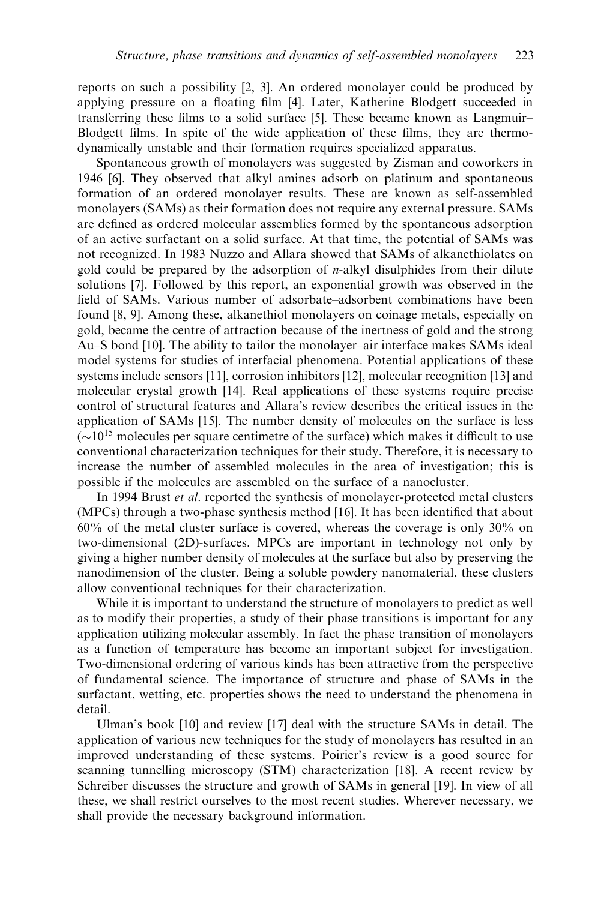reports on such a possibility [2, 3]. An ordered monolayer could be produced by applying pressure on a floating film [4]. Later, Katherine Blodgett succeeded in transferring these films to a solid surface [5]. These became known as Langmuir– Blodgett films. In spite of the wide application of these films, they are thermodynamically unstable and their formation requires specialized apparatus.

Spontaneous growth of monolayers was suggested by Zisman and coworkers in 1946 [6]. They observed that alkyl amines adsorb on platinum and spontaneous formation of an ordered monolayer results. These are known as self-assembled monolayers (SAMs) as their formation does not require any external pressure. SAMs are defined as ordered molecular assemblies formed by the spontaneous adsorption of an active surfactant on a solid surface. At that time, the potential of SAMs was not recognized. In 1983 Nuzzo and Allara showed that SAMs of alkanethiolates on gold could be prepared by the adsorption of n-alkyl disulphides from their dilute solutions [7]. Followed by this report, an exponential growth was observed in the field of SAMs. Various number of adsorbate–adsorbent combinations have been found [8, 9]. Among these, alkanethiol monolayers on coinage metals, especially on gold, became the centre of attraction because of the inertness of gold and the strong Au–S bond [10]. The ability to tailor the monolayer–air interface makes SAMs ideal model systems for studies of interfacial phenomena. Potential applications of these systems include sensors [11], corrosion inhibitors [12], molecular recognition [13] and molecular crystal growth [14]. Real applications of these systems require precise control of structural features and Allara's review describes the critical issues in the application of SAMs [15]. The number density of molecules on the surface is less  $({\sim}10^{15}$  molecules per square centimetre of the surface) which makes it difficult to use conventional characterization techniques for their study. Therefore, it is necessary to increase the number of assembled molecules in the area of investigation; this is possible if the molecules are assembled on the surface of a nanocluster.

In 1994 Brust *et al.* reported the synthesis of monolayer-protected metal clusters (MPCs) through a two-phase synthesis method [16]. It has been identified that about 60% of the metal cluster surface is covered, whereas the coverage is only 30% on two-dimensional (2D)-surfaces. MPCs are important in technology not only by giving a higher number density of molecules at the surface but also by preserving the nanodimension of the cluster. Being a soluble powdery nanomaterial, these clusters allow conventional techniques for their characterization.

While it is important to understand the structure of monolayers to predict as well as to modify their properties, a study of their phase transitions is important for any application utilizing molecular assembly. In fact the phase transition of monolayers as a function of temperature has become an important subject for investigation. Two-dimensional ordering of various kinds has been attractive from the perspective of fundamental science. The importance of structure and phase of SAMs in the surfactant, wetting, etc. properties shows the need to understand the phenomena in detail.

Ulman's book [10] and review [17] deal with the structure SAMs in detail. The application of various new techniques for the study of monolayers has resulted in an improved understanding of these systems. Poirier's review is a good source for scanning tunnelling microscopy (STM) characterization [18]. A recent review by Schreiber discusses the structure and growth of SAMs in general [19]. In view of all these, we shall restrict ourselves to the most recent studies. Wherever necessary, we shall provide the necessary background information.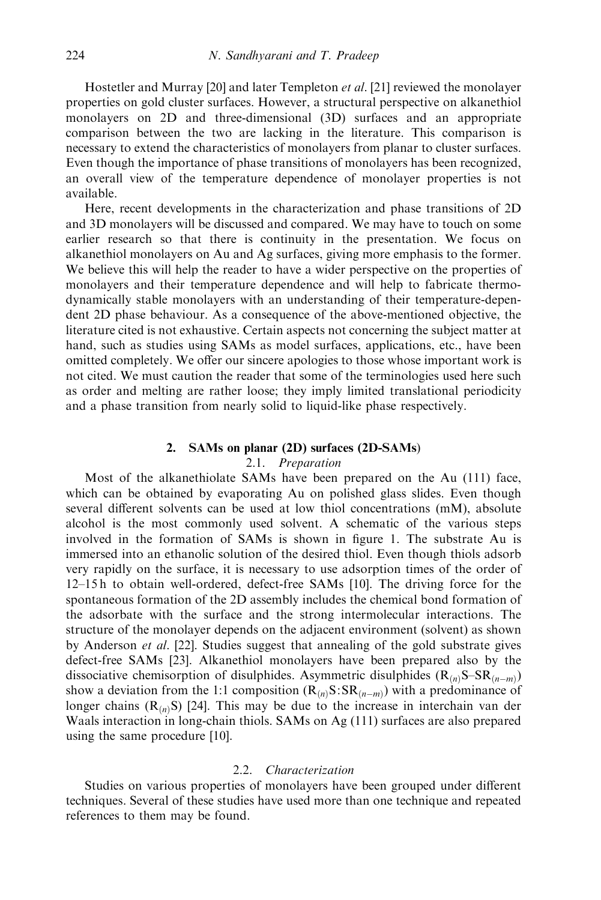Hostetler and Murray [20] and later Templeton et al. [21] reviewed the monolayer properties on gold cluster surfaces. However, a structural perspective on alkanethiol monolayers on 2D and three-dimensional (3D) surfaces and an appropriate comparison between the two are lacking in the literature. This comparison is necessary to extend the characteristics of monolayers from planar to cluster surfaces. Even though the importance of phase transitions of monolayers has been recognized, an overall view of the temperature dependence of monolayer properties is not available.

Here, recent developments in the characterization and phase transitions of 2D and 3D monolayers will be discussed and compared. We may have to touch on some earlier research so that there is continuity in the presentation. We focus on alkanethiol monolayers on Auand Ag surfaces, giving more emphasis to the former. We believe this will help the reader to have a wider perspective on the properties of monolayers and their temperature dependence and will help to fabricate thermodynamically stable monolayers with an understanding of their temperature-dependent 2D phase behaviour. As a consequence of the above-mentioned objective, the literature cited is not exhaustive. Certain aspects not concerning the subject matter at hand, such as studies using SAMs as model surfaces, applications, etc., have been omitted completely. We offer our sincere apologies to those whose important work is not cited. We must caution the reader that some of the terminologies used here such as order and melting are rather loose; they imply limited translational periodicity and a phase transition from nearly solid to liquid-like phase respectively.

#### 2. SAMs on planar (2D) surfaces (2D-SAMs)

### 2.1. Preparation

Most of the alkanethiolate SAMs have been prepared on the Au (111) face, which can be obtained by evaporating Au on polished glass slides. Even though several different solvents can be used at low thiol concentrations (mM), absolute alcohol is the most commonly used solvent. A schematic of the various steps involved in the formation of SAMs is shown in figure 1. The substrate Au is immersed into an ethanolic solution of the desired thiol. Even though thiols adsorb very rapidly on the surface, it is necessary to use adsorption times of the order of 12–15 h to obtain well-ordered, defect-free SAMs [10]. The driving force for the spontaneous formation of the 2D assembly includes the chemical bond formation of the adsorbate with the surface and the strong intermolecular interactions. The structure of the monolayer depends on the adjacent environment (solvent) as shown by Anderson et al. [22]. Studies suggest that annealing of the gold substrate gives defect-free SAMs [23]. Alkanethiol monolayers have been prepared also by the dissociative chemisorption of disulphides. Asymmetric disulphides  $(R_{(n)}S-SR_{(n-m)})$ show a deviation from the 1:1 composition  $(R_{(n)}S:SR_{(n-m)})$  with a predominance of longer chains  $(R_{(n)}S)$  [24]. This may be due to the increase in interchain van der Waals interaction in long-chain thiols. SAMs on Ag (111) surfaces are also prepared using the same procedure [10].

# 2.2. Characterization

Studies on various properties of monolayers have been grouped under different techniques. Several of these studies have used more than one technique and repeated references to them may be found.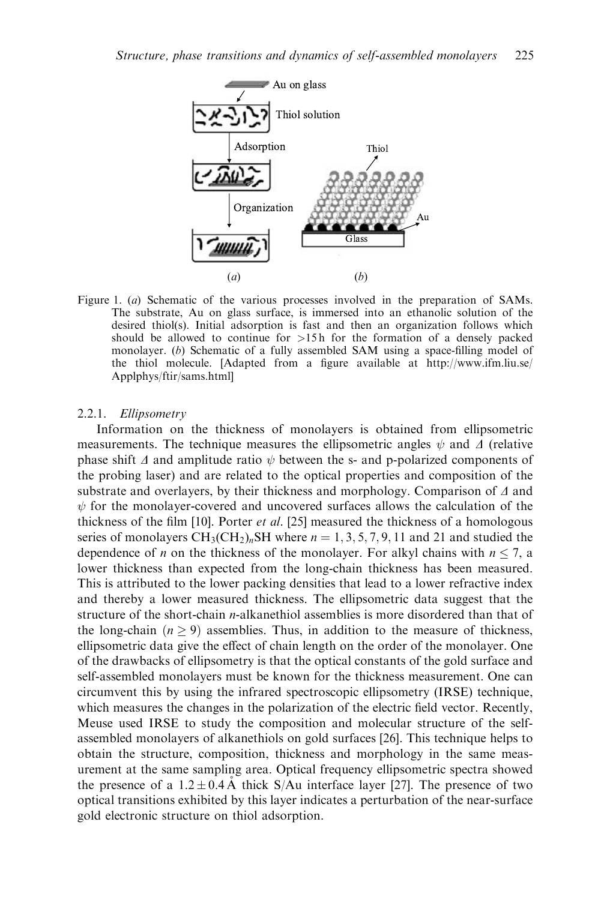

Figure 1. (a) Schematic of the various processes involved in the preparation of SAMs. The substrate, Au on glass surface, is immersed into an ethanolic solution of the desired thiol(s). Initial adsorption is fast and then an organization follows which should be allowed to continue for  $>15$  h for the formation of a densely packed monolayer. (b) Schematic of a fully assembled SAM using a space-filling model of the thiol molecule. [Adapted from a figure available at http://www.ifm.liu.se/ Applphys/ftir/sams.html]

### 2.2.1. Ellipsometry

Information on the thickness of monolayers is obtained from ellipsometric measurements. The technique measures the ellipsometric angles  $\psi$  and  $\Delta$  (relative phase shift  $\Delta$  and amplitude ratio  $\psi$  between the s- and p-polarized components of the probing laser) and are related to the optical properties and composition of the substrate and overlayers, by their thickness and morphology. Comparison of  $\Delta$  and  $\psi$  for the monolayer-covered and uncovered surfaces allows the calculation of the thickness of the film [10]. Porter et al. [25] measured the thickness of a homologous series of monolayers  $CH_3(CH_2)_n$ SH where  $n = 1, 3, 5, 7, 9, 11$  and 21 and studied the dependence of *n* on the thickness of the monolayer. For alkyl chains with  $n \le 7$ , a lower thickness than expected from the long-chain thickness has been measured. This is attributed to the lower packing densities that lead to a lower refractive index and thereby a lower measured thickness. The ellipsometric data suggest that the structure of the short-chain n-alkanethiol assemblies is more disordered than that of the long-chain  $(n \geq 9)$  assemblies. Thus, in addition to the measure of thickness, ellipsometric data give the effect of chain length on the order of the monolayer. One of the drawbacks of ellipsometry is that the optical constants of the gold surface and self-assembled monolayers must be known for the thickness measurement. One can circumvent this by using the infrared spectroscopic ellipsometry (IRSE) technique, which measures the changes in the polarization of the electric field vector. Recently, Meuse used IRSE to study the composition and molecular structure of the selfassembled monolayers of alkanethiols on gold surfaces [26]. This technique helps to obtain the structure, composition, thickness and morphology in the same measurement at the same sampling area. Optical frequency ellipsometric spectra showed the presence of a  $1.2 \pm 0.4$ Å thick S/Au interface layer [27]. The presence of two optical transitions exhibited by this layer indicates a perturbation of the near-surface gold electronic structure on thiol adsorption.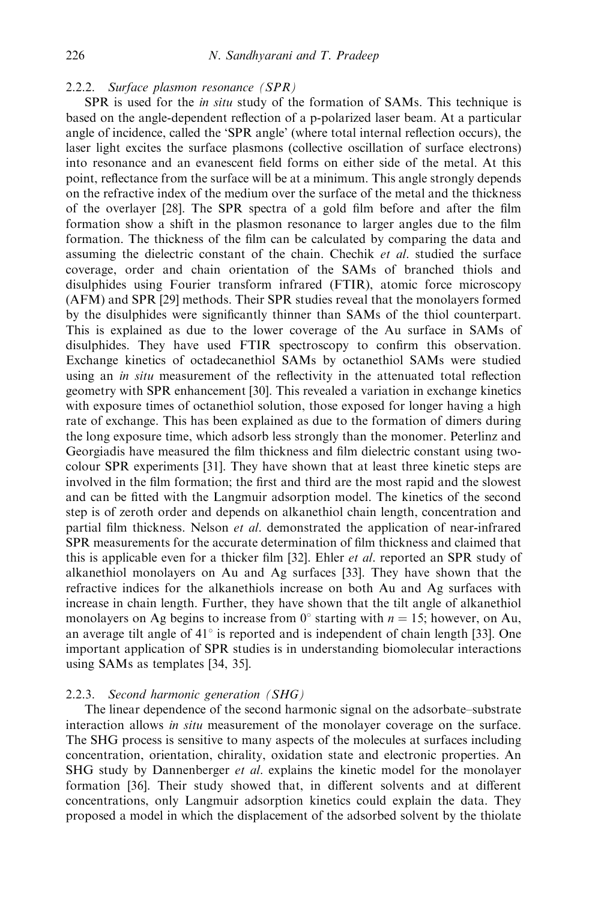2.2.2. Surface plasmon resonance (SPR)

SPR is used for the *in situ* study of the formation of SAMs. This technique is based on the angle-dependent reflection of a p-polarized laser beam. At a particular angle of incidence, called the 'SPR angle' (where total internal reflection occurs), the laser light excites the surface plasmons (collective oscillation of surface electrons) into resonance and an evanescent field forms on either side of the metal. At this point, reflectance from the surface will be at a minimum. This angle strongly depends on the refractive index of the medium over the surface of the metal and the thickness of the overlayer [28]. The SPR spectra of a gold film before and after the film formation show a shift in the plasmon resonance to larger angles due to the film formation. The thickness of the film can be calculated by comparing the data and assuming the dielectric constant of the chain. Chechik et al. studied the surface coverage, order and chain orientation of the SAMs of branched thiols and disulphides using Fourier transform infrared (FTIR), atomic force microscopy (AFM) and SPR [29] methods. Their SPR studies reveal that the monolayers formed by the disulphides were significantly thinner than SAMs of the thiol counterpart. This is explained as due to the lower coverage of the Au surface in SAMs of disulphides. They have used FTIR spectroscopy to confirm this observation. Exchange kinetics of octadecanethiol SAMs by octanethiol SAMs were studied using an *in situ* measurement of the reflectivity in the attenuated total reflection geometry with SPR enhancement [30]. This revealed a variation in exchange kinetics with exposure times of octanethiol solution, those exposed for longer having a high rate of exchange. This has been explained as due to the formation of dimers during the long exposure time, which adsorb less strongly than the monomer. Peterlinz and Georgiadis have measured the film thickness and film dielectric constant using twocolour SPR experiments [31]. They have shown that at least three kinetic steps are involved in the film formation; the first and third are the most rapid and the slowest and can be fitted with the Langmuir adsorption model. The kinetics of the second step is of zeroth order and depends on alkanethiol chain length, concentration and partial film thickness. Nelson et al. demonstrated the application of near-infrared SPR measurements for the accurate determination of film thickness and claimed that this is applicable even for a thicker film [32]. Ehler *et al.* reported an SPR study of alkanethiol monolayers on Auand Ag surfaces [33]. They have shown that the refractive indices for the alkanethiols increase on both Auand Ag surfaces with increase in chain length. Further, they have shown that the tilt angle of alkanethiol monolayers on Ag begins to increase from  $0^{\circ}$  starting with  $n = 15$ ; however, on Au, an average tilt angle of  $41^\circ$  is reported and is independent of chain length [33]. One important application of SPR studies is in understanding biomolecular interactions using SAMs as templates [34, 35].

# 2.2.3. Second harmonic generation (SHG)

The linear dependence of the second harmonic signal on the adsorbate–substrate interaction allows *in situ* measurement of the monolayer coverage on the surface. The SHG process is sensitive to many aspects of the molecules at surfaces including concentration, orientation, chirality, oxidation state and electronic properties. An SHG study by Dannenberger *et al.* explains the kinetic model for the monolayer formation [36]. Their study showed that, in different solvents and at different concentrations, only Langmuir adsorption kinetics could explain the data. They proposed a model in which the displacement of the adsorbed solvent by the thiolate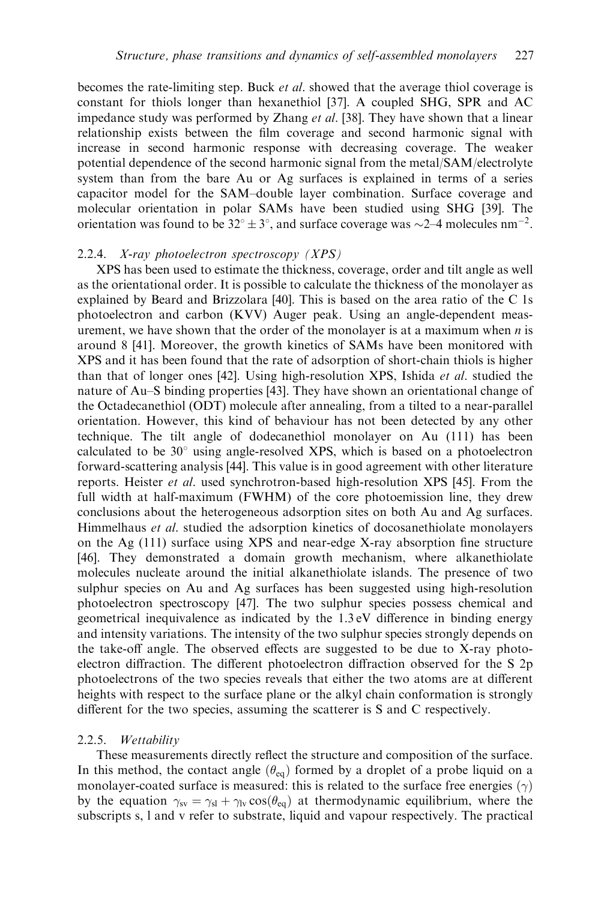becomes the rate-limiting step. Buck et al. showed that the average thiol coverage is constant for thiols longer than hexanethiol [37]. A coupled SHG, SPR and AC impedance study was performed by Zhang et al. [38]. They have shown that a linear relationship exists between the film coverage and second harmonic signal with increase in second harmonic response with decreasing coverage. The weaker potential dependence of the second harmonic signal from the metal/SAM/electrolyte system than from the bare Auor Ag surfaces is explained in terms of a series capacitor model for the SAM–double layer combination. Surface coverage and molecular orientation in polar SAMs have been studied using SHG [39]. The orientation was found to be  $32^{\circ} \pm 3^{\circ}$ , and surface coverage was  $\sim 2-4$  molecules nm<sup>-2</sup>.

#### 2.2.4. X-ray photoelectron spectroscopy (XPS)

XPS has been used to estimate the thickness, coverage, order and tilt angle as well as the orientational order. It is possible to calculate the thickness of the monolayer as explained by Beard and Brizzolara [40]. This is based on the area ratio of the C 1s photoelectron and carbon (KVV) Auger peak. Using an angle-dependent measurement, we have shown that the order of the monolayer is at a maximum when  $n$  is around 8 [41]. Moreover, the growth kinetics of SAMs have been monitored with XPS and it has been found that the rate of adsorption of short-chain thiols is higher than that of longer ones [42]. Using high-resolution XPS, Ishida et al. studied the nature of Au–S binding properties [43]. They have shown an orientational change of the Octadecanethiol (ODT) molecule after annealing, from a tilted to a near-parallel orientation. However, this kind of behaviour has not been detected by any other technique. The tilt angle of dodecanethiol monolayer on Au (111) has been calculated to be  $30^{\circ}$  using angle-resolved XPS, which is based on a photoelectron forward-scattering analysis [44]. This value is in good agreement with other literature reports. Heister et al. used synchrotron-based high-resolution XPS [45]. From the full width at half-maximum (FWHM) of the core photoemission line, they drew conclusions about the heterogeneous adsorption sites on both Au and Ag surfaces. Himmelhaus et al. studied the adsorption kinetics of docosanethiolate monolayers on the Ag (111) surface using XPS and near-edge X-ray absorption fine structure [46]. They demonstrated a domain growth mechanism, where alkanethiolate molecules nucleate around the initial alkanethiolate islands. The presence of two sulphur species on Au and Ag surfaces has been suggested using high-resolution photoelectron spectroscopy [47]. The two sulphur species possess chemical and geometrical inequivalence as indicated by the 1.3 eV difference in binding energy and intensity variations. The intensity of the two sulphur species strongly depends on the take-off angle. The observed effects are suggested to be due to X-ray photoelectron diffraction. The different photoelectron diffraction observed for the S 2p photoelectrons of the two species reveals that either the two atoms are at different heights with respect to the surface plane or the alkyl chain conformation is strongly different for the two species, assuming the scatterer is S and C respectively.

### 2.2.5. Wettability

These measurements directly reflect the structure and composition of the surface. In this method, the contact angle  $(\theta_{eq})$  formed by a droplet of a probe liquid on a monolayer-coated surface is measured: this is related to the surface free energies  $(\gamma)$ by the equation  $\gamma_{sv} = \gamma_{sl} + \gamma_{lv} \cos(\theta_{eq})$  at thermodynamic equilibrium, where the subscripts s, l and v refer to substrate, liquid and vapour respectively. The practical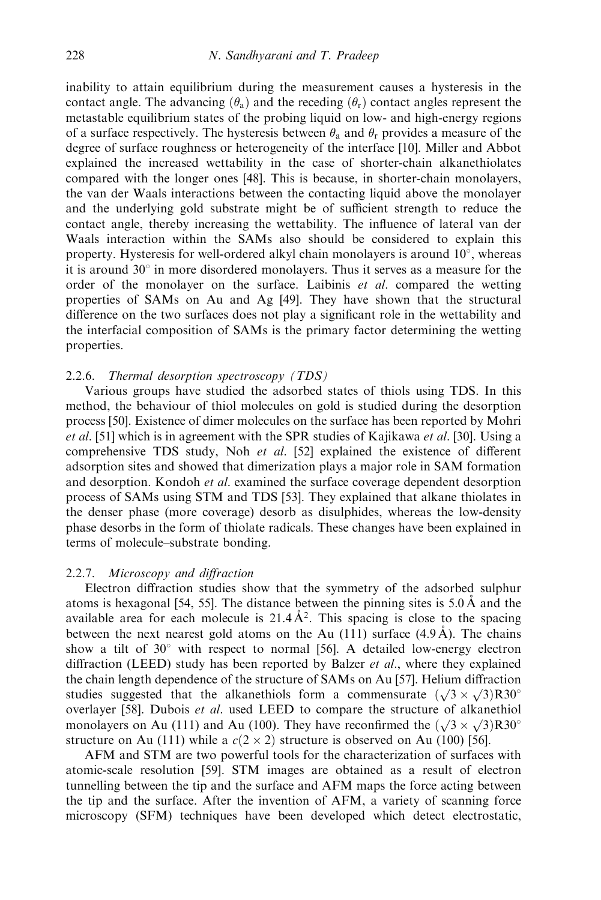inability to attain equilibrium during the measurement causes a hysteresis in the contact angle. The advancing  $(\theta_a)$  and the receding  $(\theta_r)$  contact angles represent the metastable equilibrium states of the probing liquid on low- and high-energy regions of a surface respectively. The hysteresis between  $\theta_a$  and  $\theta_r$  provides a measure of the degree of surface roughness or heterogeneity of the interface [10]. Miller and Abbot explained the increased wettability in the case of shorter-chain alkanethiolates compared with the longer ones [48]. This is because, in shorter-chain monolayers, the van der Waals interactions between the contacting liquid above the monolayer and the underlying gold substrate might be of sufficient strength to reduce the contact angle, thereby increasing the wettability. The influence of lateral van der Waals interaction within the SAMs also should be considered to explain this property. Hysteresis for well-ordered alkyl chain monolayers is around  $10^{\circ}$ , whereas it is around  $30^\circ$  in more disordered monolayers. Thus it serves as a measure for the order of the monolayer on the surface. Laibinis et al. compared the wetting properties of SAMs on Au and Ag [49]. They have shown that the structural difference on the two surfaces does not play a significant role in the wettability and the interfacial composition of SAMs is the primary factor determining the wetting properties.

### 2.2.6. Thermal desorption spectroscopy  $(TDS)$

Various groups have studied the adsorbed states of thiols using TDS. In this method, the behaviour of thiol molecules on gold is studied during the desorption process [50]. Existence of dimer molecules on the surface has been reported by Mohri et al. [51] which is in agreement with the SPR studies of Kajikawa et al. [30]. Using a comprehensive TDS study, Noh et al.  $[52]$  explained the existence of different adsorption sites and showed that dimerization plays a major role in SAM formation and desorption. Kondoh *et al.* examined the surface coverage dependent desorption process of SAMs using STM and TDS [53]. They explained that alkane thiolates in the denser phase (more coverage) desorb as disulphides, whereas the low-density phase desorbs in the form of thiolate radicals. These changes have been explained in terms of molecule–substrate bonding.

# 2.2.7. Microscopy and diffraction

Electron diffraction studies show that the symmetry of the adsorbed sulphur atoms is hexagonal [54, 55]. The distance between the pinning sites is  $5.0 \text{ Å}$  and the available area for each molecule is  $21.4\text{\AA}^2$ . This spacing is close to the spacing between the next nearest gold atoms on the Au (111) surface  $(4.9 \text{ Å})$ . The chains show a tilt of  $30^{\circ}$  with respect to normal [56]. A detailed low-energy electron diffraction (LEED) study has been reported by Balzer *et al.*, where they explained the chain length dependence of the structure of SAMs on Au [57]. Helium diffraction studies suggested that the alkanethiols form a commensurate  $(\sqrt{3} \times \sqrt{3})$ R30<sup>o</sup> overlayer [58]. Dubois et al. used LEED to compare the structure of alkanethiol monolayers on Au (111) and Au (100). They have reconfirmed the  $(\sqrt{3} \times \sqrt{3})$ R30<sup>o</sup> structure on Au (111) while a  $c(2 \times 2)$  structure is observed on Au (100) [56].

AFM and STM are two powerful tools for the characterization of surfaces with atomic-scale resolution [59]. STM images are obtained as a result of electron tunnelling between the tip and the surface and AFM maps the force acting between the tip and the surface. After the invention of AFM, a variety of scanning force microscopy (SFM) techniques have been developed which detect electrostatic,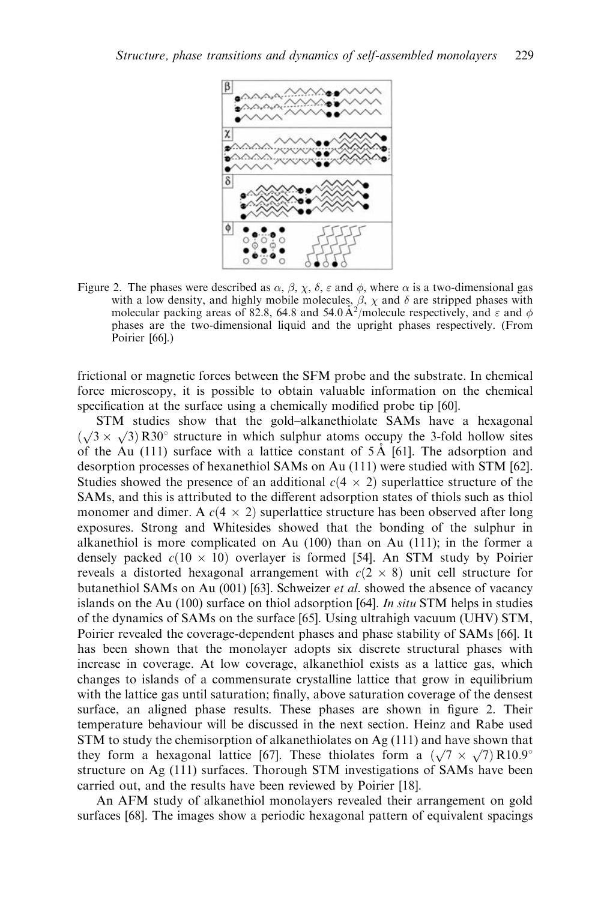

Figure 2. The phases were described as  $\alpha$ ,  $\beta$ ,  $\chi$ ,  $\delta$ ,  $\varepsilon$  and  $\phi$ , where  $\alpha$  is a two-dimensional gas with a low density, and highly mobile molecules,  $\beta$ ,  $\chi$  and  $\delta$  are stripped phases with molecular packing areas of 82.8, 64.8 and 54.0 A<sup>2</sup>/molecule respectively, and  $\varepsilon$  and  $\phi$ phases are the two-dimensional liquid and the upright phases respectively. (From Poirier [66].)

frictional or magnetic forces between the SFM probe and the substrate. In chemical force microscopy, it is possible to obtain valuable information on the chemical specification at the surface using a chemically modified probe tip [60].

STM studies show that the gold–alkanethiolate SAMs have a hexagonal  $(\sqrt{3} \times \sqrt{3})$  R30° structure in which sulphur atoms occupy the 3-fold hollow sites of the Au (111) surface with a lattice constant of  $5 \text{\AA}$  [61]. The adsorption and desorption processes of hexanethiol SAMs on Au(111) were studied with STM [62]. Studies showed the presence of an additional  $c(4 \times 2)$  superlattice structure of the SAMs, and this is attributed to the different adsorption states of thiols such as thiol monomer and dimer. A  $c(4 \times 2)$  superlattice structure has been observed after long exposures. Strong and Whitesides showed that the bonding of the sulphur in alkanethiol is more complicated on Au  $(100)$  than on Au  $(111)$ ; in the former a densely packed  $c(10 \times 10)$  overlayer is formed [54]. An STM study by Poirier reveals a distorted hexagonal arrangement with  $c(2 \times 8)$  unit cell structure for butanethiol SAMs on Au (001) [63]. Schweizer et al. showed the absence of vacancy islands on the Au (100) surface on thiol adsorption [64]. In situ STM helps in studies of the dynamics of SAMs on the surface [65]. Using ultrahigh vacuum (UHV) STM, Poirier revealed the coverage-dependent phases and phase stability of SAMs [66]. It has been shown that the monolayer adopts six discrete structural phases with increase in coverage. At low coverage, alkanethiol exists as a lattice gas, which changes to islands of a commensurate crystalline lattice that grow in equilibrium with the lattice gas until saturation; finally, above saturation coverage of the densest surface, an aligned phase results. These phases are shown in figure 2. Their temperature behaviour will be discussed in the next section. Heinz and Rabe used STM to study the chemisorption of alkanethiolates on Ag (111) and have shown that they form a hexagonal lattice [67]. These thiolates form a  $(\sqrt{7} \times \sqrt{7})$  R10.9° structure on Ag (111) surfaces. Thorough STM investigations of SAMs have been carried out, and the results have been reviewed by Poirier [18].

An AFM study of alkanethiol monolayers revealed their arrangement on gold surfaces [68]. The images show a periodic hexagonal pattern of equivalent spacings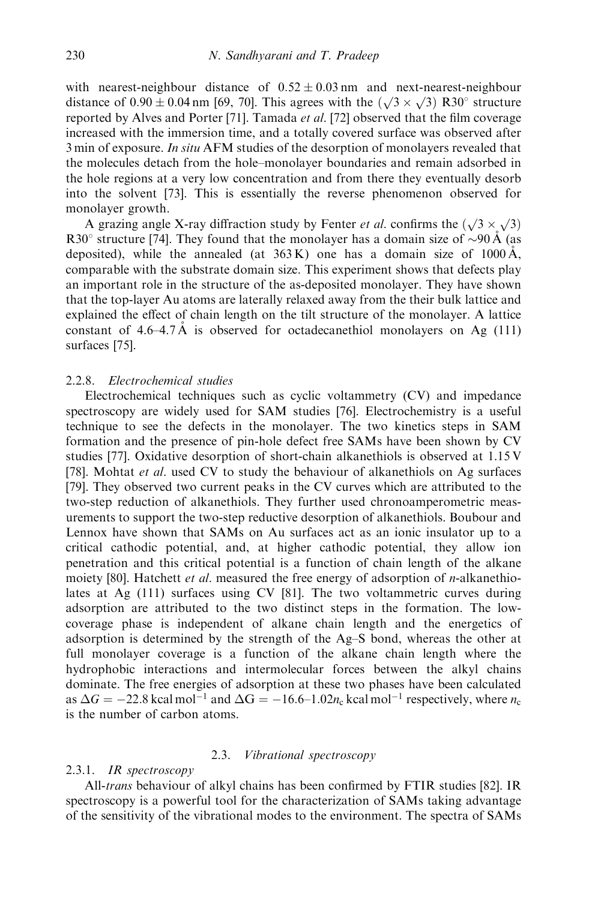with nearest-neighbour distance of  $0.52 \pm 0.03$  nm and next-nearest-neighbour with nearest-heighbour distance of  $0.92 \pm 0.03$  nm and next-heatest-heighbour distance of  $0.90 \pm 0.04$  nm [69, 70]. This agrees with the  $(\sqrt{3} \times \sqrt{3})$  R30° structure reported by Alves and Porter [71]. Tamada et al. [72] observed that the film coverage increased with the immersion time, and a totally covered surface was observed after 3 min of exposure. In situ AFM studies of the desorption of monolayers revealed that the molecules detach from the hole–monolayer boundaries and remain adsorbed in the hole regions at a very low concentration and from there they eventually desorb into the solvent [73]. This is essentially the reverse phenomenon observed for monolayer growth.

A grazing angle X-ray diffraction study by Fenter *et al*. confirms the  $(\sqrt{3} \times \sqrt{3})$ R30 $\degree$  structure [74]. They found that the monolayer has a domain size of  $\sim$ 90 Å (as deposited), while the annealed (at  $363 \text{ K}$ ) one has a domain size of  $1000 \text{ Å}$ , comparable with the substrate domain size. This experiment shows that defects play an important role in the structure of the as-deposited monolayer. They have shown that the top-layer Auatoms are laterally relaxed away from the their bulk lattice and explained the effect of chain length on the tilt structure of the monolayer. A lattice constant of 4.6–4.7 Å is observed for octadecanethiol monolayers on Ag  $(111)$ surfaces [75].

### 2.2.8. Electrochemical studies

Electrochemical techniques such as cyclic voltammetry (CV) and impedance spectroscopy are widely used for SAM studies [76]. Electrochemistry is a useful technique to see the defects in the monolayer. The two kinetics steps in SAM formation and the presence of pin-hole defect free SAMs have been shown by CV studies [77]. Oxidative desorption of short-chain alkanethiols is observed at 1.15 V [78]. Mohtat et al. used CV to study the behaviour of alkanethiols on Ag surfaces [79]. They observed two current peaks in the CV curves which are attributed to the two-step reduction of alkanethiols. They further used chronoamperometric measurements to support the two-step reductive desorption of alkanethiols. Boubour and Lennox have shown that SAMs on Au surfaces act as an ionic insulator up to a critical cathodic potential, and, at higher cathodic potential, they allow ion penetration and this critical potential is a function of chain length of the alkane moiety [80]. Hatchett *et al.* measured the free energy of adsorption of *n*-alkanethiolates at Ag (111) surfaces using CV [81]. The two voltammetric curves during adsorption are attributed to the two distinct steps in the formation. The lowcoverage phase is independent of alkane chain length and the energetics of adsorption is determined by the strength of the Ag–S bond, whereas the other at full monolayer coverage is a function of the alkane chain length where the hydrophobic interactions and intermolecular forces between the alkyl chains dominate. The free energies of adsorption at these two phases have been calculated as  $\Delta G = -22.8 \text{ kcal mol}^{-1}$  and  $\Delta G = -16.6 \text{--} 1.02 n_c \text{ kcal mol}^{-1}$  respectively, where  $n_c$ is the number of carbon atoms.

# 2.3. Vibrational spectroscopy

# 2.3.1. IR spectroscopy

All-trans behaviour of alkyl chains has been confirmed by FTIR studies [82]. IR spectroscopy is a powerful tool for the characterization of SAMs taking advantage of the sensitivity of the vibrational modes to the environment. The spectra of SAMs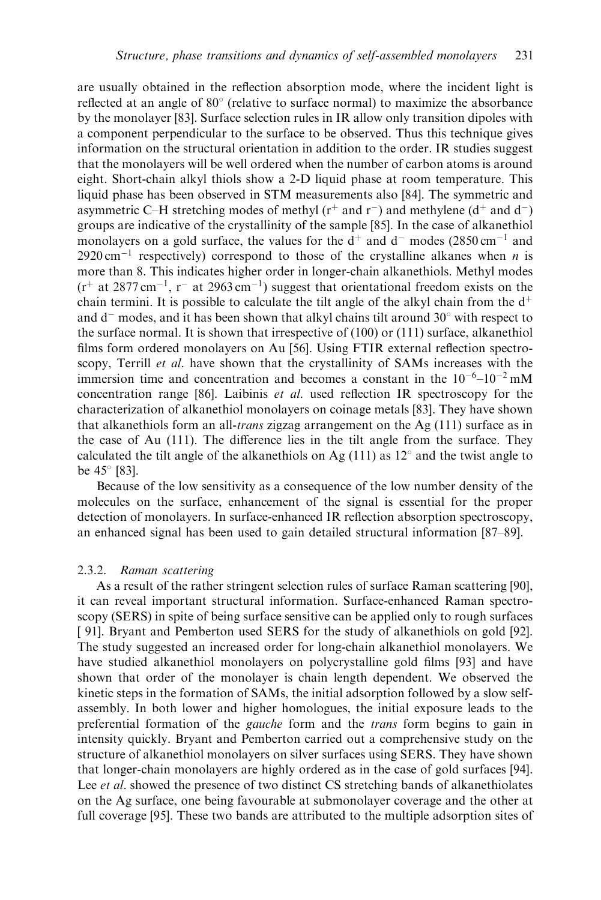are usually obtained in the reflection absorption mode, where the incident light is reflected at an angle of  $80^{\circ}$  (relative to surface normal) to maximize the absorbance by the monolayer [83]. Surface selection rules in IR allow only transition dipoles with a component perpendicular to the surface to be observed. Thus this technique gives information on the structural orientation in addition to the order. IR studies suggest that the monolayers will be well ordered when the number of carbon atoms is around eight. Short-chain alkyl thiols show a 2-D liquid phase at room temperature. This liquid phase has been observed in STM measurements also [84]. The symmetric and asymmetric C–H stretching modes of methyl ( $r^+$  and  $r^-$ ) and methylene ( $d^+$  and  $d^-$ ) groups are indicative of the crystallinity of the sample [85]. In the case of alkanethiol monolayers on a gold surface, the values for the  $d^+$  and  $d^-$  modes (2850 cm<sup>-1</sup> and  $2920 \text{ cm}^{-1}$  respectively) correspond to those of the crystalline alkanes when n is more than 8. This indicates higher order in longer-chain alkanethiols. Methyl modes  $(r^+$  at 2877 cm<sup>-1</sup>, r<sup>-</sup> at 2963 cm<sup>-1</sup>) suggest that orientational freedom exists on the chain termini. It is possible to calculate the tilt angle of the alkyl chain from the  $d^+$ and  $d^-$  modes, and it has been shown that alkyl chains tilt around 30 $\degree$  with respect to the surface normal. It is shown that irrespective of (100) or (111) surface, alkanethiol films form ordered monolayers on Au[56]. Using FTIR external reflection spectroscopy, Terrill *et al.* have shown that the crystallinity of SAMs increases with the immersion time and concentration and becomes a constant in the  $10^{-6}$ – $10^{-2}$  mM concentration range [86]. Laibinis et al. used reflection IR spectroscopy for the characterization of alkanethiol monolayers on coinage metals [83]. They have shown that alkanethiols form an all-trans zigzag arrangement on the Ag (111) surface as in the case of Au  $(111)$ . The difference lies in the tilt angle from the surface. They calculated the tilt angle of the alkanethiols on Ag  $(111)$  as  $12^{\circ}$  and the twist angle to be  $45^{\circ}$  [83].

Because of the low sensitivity as a consequence of the low number density of the molecules on the surface, enhancement of the signal is essential for the proper detection of monolayers. In surface-enhanced IR reflection absorption spectroscopy, an enhanced signal has been used to gain detailed structural information [87–89].

# 2.3.2. Raman scattering

As a result of the rather stringent selection rules of surface Raman scattering [90], it can reveal important structural information. Surface-enhanced Raman spectroscopy (SERS) in spite of being surface sensitive can be applied only to rough surfaces [ 91]. Bryant and Pemberton used SERS for the study of alkanethiols on gold [92]. The study suggested an increased order for long-chain alkanethiol monolayers. We have studied alkanethiol monolayers on polycrystalline gold films [93] and have shown that order of the monolayer is chain length dependent. We observed the kinetic steps in the formation of SAMs, the initial adsorption followed by a slow selfassembly. In both lower and higher homologues, the initial exposure leads to the preferential formation of the gauche form and the trans form begins to gain in intensity quickly. Bryant and Pemberton carried out a comprehensive study on the structure of alkanethiol monolayers on silver surfaces using SERS. They have shown that longer-chain monolayers are highly ordered as in the case of gold surfaces [94]. Lee *et al.* showed the presence of two distinct CS stretching bands of alkanethiolates on the Ag surface, one being favourable at submonolayer coverage and the other at full coverage [95]. These two bands are attributed to the multiple adsorption sites of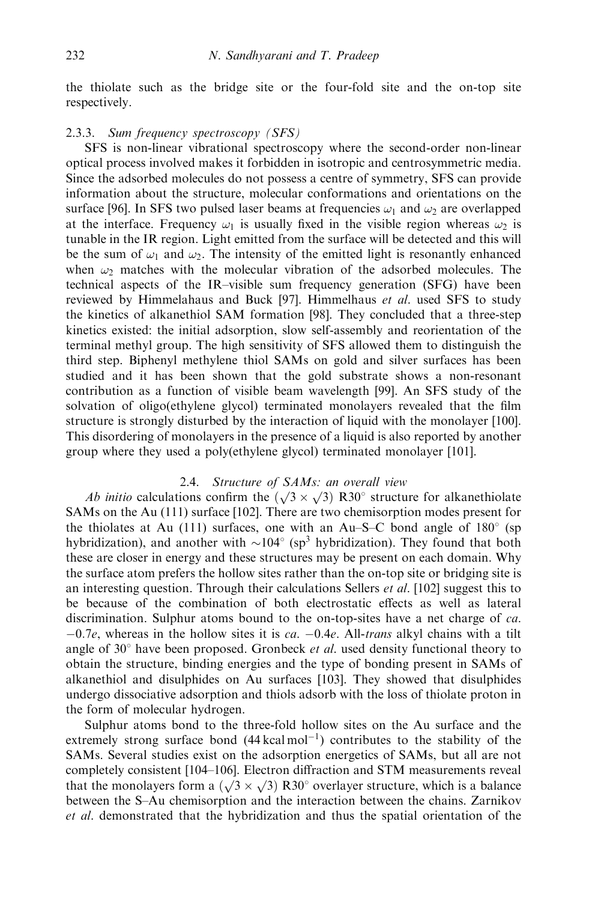the thiolate such as the bridge site or the four-fold site and the on-top site respectively.

# 2.3.3. Sum frequency spectroscopy (SFS)

SFS is non-linear vibrational spectroscopy where the second-order non-linear optical process involved makes it forbidden in isotropic and centrosymmetric media. Since the adsorbed molecules do not possess a centre of symmetry, SFS can provide information about the structure, molecular conformations and orientations on the surface [96]. In SFS two pulsed laser beams at frequencies  $\omega_1$  and  $\omega_2$  are overlapped at the interface. Frequency  $\omega_1$  is usually fixed in the visible region whereas  $\omega_2$  is tunable in the IR region. Light emitted from the surface will be detected and this will be the sum of  $\omega_1$  and  $\omega_2$ . The intensity of the emitted light is resonantly enhanced when  $\omega_2$  matches with the molecular vibration of the adsorbed molecules. The technical aspects of the IR–visible sum frequency generation (SFG) have been reviewed by Himmelahaus and Buck [97]. Himmelhaus et al. used SFS to study the kinetics of alkanethiol SAM formation [98]. They concluded that a three-step kinetics existed: the initial adsorption, slow self-assembly and reorientation of the terminal methyl group. The high sensitivity of SFS allowed them to distinguish the third step. Biphenyl methylene thiol SAMs on gold and silver surfaces has been studied and it has been shown that the gold substrate shows a non-resonant contribution as a function of visible beam wavelength [99]. An SFS study of the solvation of oligo(ethylene glycol) terminated monolayers revealed that the film structure is strongly disturbed by the interaction of liquid with the monolayer [100]. This disordering of monolayers in the presence of a liquid is also reported by another group where they used a poly(ethylene glycol) terminated monolayer [101].

### 2.4. Structure of SAMs: an overall view

Ab initio calculations confirm the  $(\sqrt{3} \times \sqrt{3})$  R30° structure for alkanethiolate SAMs on the Au (111) surface [102]. There are two chemisorption modes present for the thiolates at Au (111) surfaces, one with an Au–S–C bond angle of  $180^\circ$  (sp hybridization), and another with  $\sim 104^\circ$  (sp<sup>3</sup> hybridization). They found that both these are closer in energy and these structures may be present on each domain. Why the surface atom prefers the hollow sites rather than the on-top site or bridging site is an interesting question. Through their calculations Sellers *et al.* [102] suggest this to be because of the combination of both electrostatic effects as well as lateral discrimination. Sulphur atoms bound to the on-top-sites have a net charge of ca.  $-0.7e$ , whereas in the hollow sites it is *ca.*  $-0.4e$ . All-*trans* alkyl chains with a tilt angle of  $30^{\circ}$  have been proposed. Gronbeck *et al.* used density functional theory to obtain the structure, binding energies and the type of bonding present in SAMs of alkanethiol and disulphides on Au surfaces [103]. They showed that disulphides undergo dissociative adsorption and thiols adsorb with the loss of thiolate proton in the form of molecular hydrogen.

Sulphur atoms bond to the three-fold hollow sites on the Au surface and the extremely strong surface bond  $(44 \text{ kcal mol}^{-1})$  contributes to the stability of the SAMs. Several studies exist on the adsorption energetics of SAMs, but all are not completely consistent [104–106]. Electron diffraction and STM measurements reveal that the monolayers form a  $(\sqrt{3} \times \sqrt{3})$  R30° overlayer structure, which is a balance between the S–Au chemisorption and the interaction between the chains. Zarnikov et al. demonstrated that the hybridization and thus the spatial orientation of the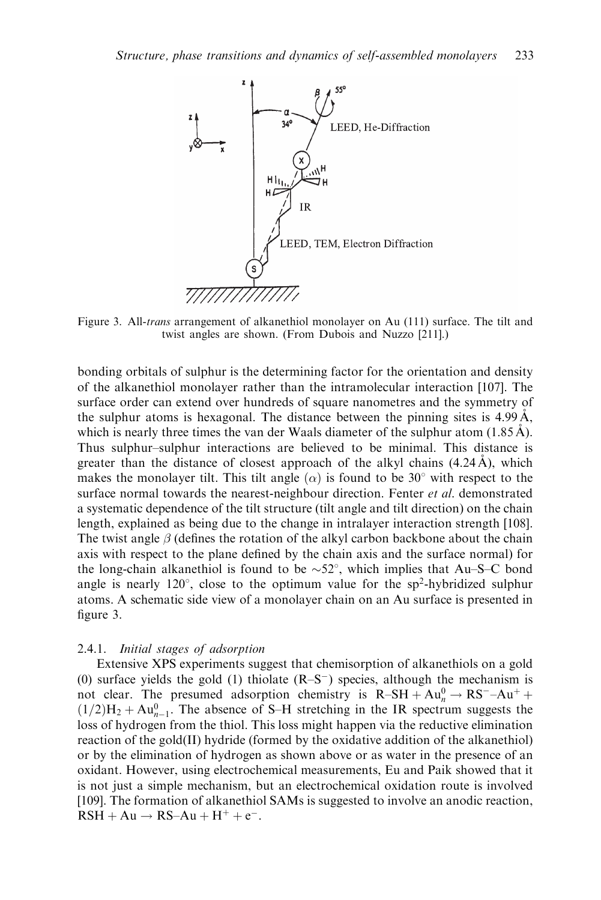

Figure 3. All-*trans* arrangement of alkanethiol monolayer on Au (111) surface. The tilt and twist angles are shown. (From Dubois and Nuzzo [211].)

bonding orbitals of sulphur is the determining factor for the orientation and density of the alkanethiol monolayer rather than the intramolecular interaction [107]. The surface order can extend over hundreds of square nanometres and the symmetry of the sulphur atoms is hexagonal. The distance between the pinning sites is  $4.99 \text{ Å}$ , which is nearly three times the van der Waals diameter of the sulphur atom  $(1.85 \text{ Å})$ . Thus sulphur–sulphur interactions are believed to be minimal. This distance is greater than the distance of closest approach of the alkyl chains  $(4.24 \text{ Å})$ , which makes the monolayer tilt. This tilt angle  $(\alpha)$  is found to be 30° with respect to the surface normal towards the nearest-neighbour direction. Fenter et al. demonstrated a systematic dependence of the tilt structure (tilt angle and tilt direction) on the chain length, explained as being due to the change in intralayer interaction strength [108]. The twist angle  $\beta$  (defines the rotation of the alkyl carbon backbone about the chain axis with respect to the plane defined by the chain axis and the surface normal) for the long-chain alkanethiol is found to be  $\sim$  52°, which implies that Au–S–C bond angle is nearly  $120^{\circ}$ , close to the optimum value for the sp<sup>2</sup>-hybridized sulphur atoms. A schematic side view of a monolayer chain on an Ausurface is presented in figure 3.

### 2.4.1. Initial stages of adsorption

Extensive XPS experiments suggest that chemisorption of alkanethiols on a gold (0) surface yields the gold (1) thiolate  $(R-S^-)$  species, although the mechanism is not clear. The presumed adsorption chemistry is  $R-SH + Au_n^0 \rightarrow RS^- - Au^+ +$  $(1/2)H_2 + Au_{n-1}^0$ . The absence of S–H stretching in the IR spectrum suggests the loss of hydrogen from the thiol. This loss might happen via the reductive elimination reaction of the gold(II) hydride (formed by the oxidative addition of the alkanethiol) or by the elimination of hydrogen as shown above or as water in the presence of an oxidant. However, using electrochemical measurements, Eu and Paik showed that it is not just a simple mechanism, but an electrochemical oxidation route is involved [109]. The formation of alkanethiol SAMs is suggested to involve an anodic reaction,  $RSH + Au \rightarrow RS-Au + H^+ + e^-$ .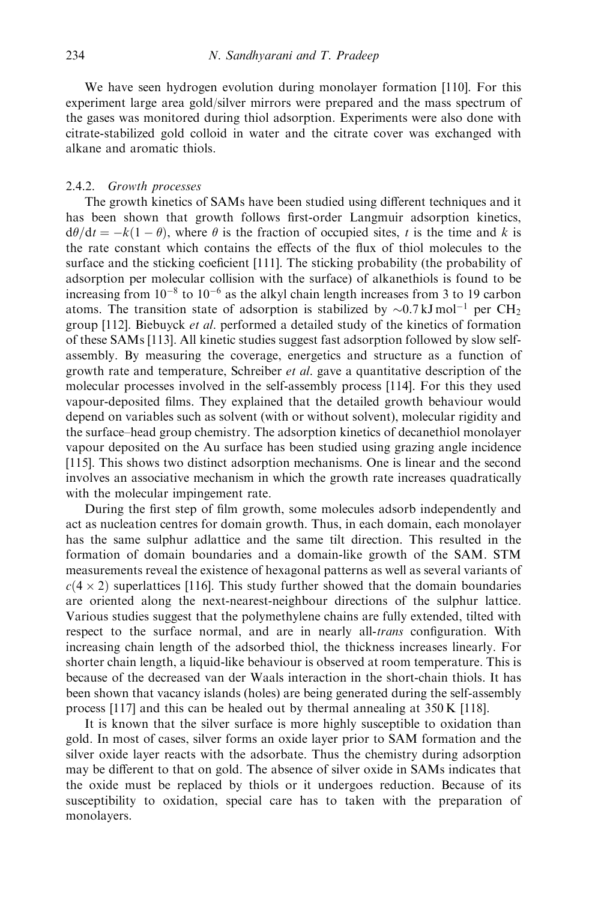We have seen hydrogen evolution during monolayer formation [110]. For this experiment large area gold/silver mirrors were prepared and the mass spectrum of the gases was monitored during thiol adsorption. Experiments were also done with citrate-stabilized gold colloid in water and the citrate cover was exchanged with alkane and aromatic thiols.

# 2.4.2. Growth processes

The growth kinetics of SAMs have been studied using different techniques and it has been shown that growth follows first-order Langmuir adsorption kinetics,  $d\theta/dt = -k(1 - \theta)$ , where  $\theta$  is the fraction of occupied sites, t is the time and k is the rate constant which contains the effects of the flux of thiol molecules to the surface and the sticking coeficient [111]. The sticking probability (the probability of adsorption per molecular collision with the surface) of alkanethiols is found to be increasing from  $10^{-8}$  to  $10^{-6}$  as the alkyl chain length increases from 3 to 19 carbon atoms. The transition state of adsorption is stabilized by  $\sim 0.7 \text{ kJ mol}^{-1}$  per CH<sub>2</sub> group [112]. Biebuyck et al. performed a detailed study of the kinetics of formation of these SAMs [113]. All kinetic studies suggest fast adsorption followed by slow selfassembly. By measuring the coverage, energetics and structure as a function of growth rate and temperature, Schreiber *et al.* gave a quantitative description of the molecular processes involved in the self-assembly process [114]. For this they used vapour-deposited films. They explained that the detailed growth behaviour would depend on variables such as solvent (with or without solvent), molecular rigidity and the surface–head group chemistry. The adsorption kinetics of decanethiol monolayer vapour deposited on the Au surface has been studied using grazing angle incidence [115]. This shows two distinct adsorption mechanisms. One is linear and the second involves an associative mechanism in which the growth rate increases quadratically with the molecular impingement rate.

During the first step of film growth, some molecules adsorb independently and act as nucleation centres for domain growth. Thus, in each domain, each monolayer has the same sulphur adlattice and the same tilt direction. This resulted in the formation of domain boundaries and a domain-like growth of the SAM. STM measurements reveal the existence of hexagonal patterns as well as several variants of  $c(4 \times 2)$  superlattices [116]. This study further showed that the domain boundaries are oriented along the next-nearest-neighbour directions of the sulphur lattice. Various studies suggest that the polymethylene chains are fully extended, tilted with respect to the surface normal, and are in nearly all-*trans* configuration. With increasing chain length of the adsorbed thiol, the thickness increases linearly. For shorter chain length, a liquid-like behaviour is observed at room temperature. This is because of the decreased van der Waals interaction in the short-chain thiols. It has been shown that vacancy islands (holes) are being generated during the self-assembly process [117] and this can be healed out by thermal annealing at 350 K [118].

It is known that the silver surface is more highly susceptible to oxidation than gold. In most of cases, silver forms an oxide layer prior to SAM formation and the silver oxide layer reacts with the adsorbate. Thus the chemistry during adsorption may be different to that on gold. The absence of silver oxide in SAMs indicates that the oxide must be replaced by thiols or it undergoes reduction. Because of its susceptibility to oxidation, special care has to taken with the preparation of monolayers.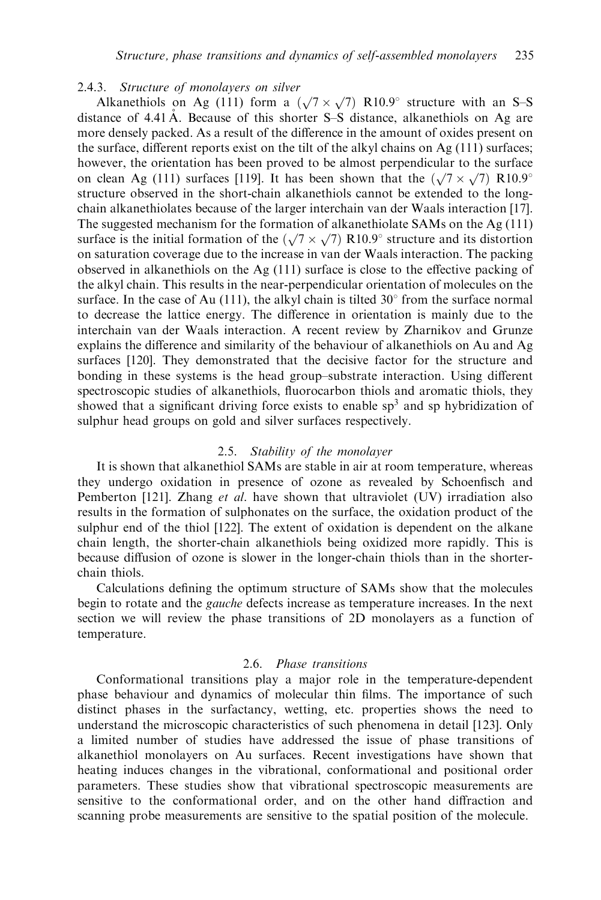### 2.4.3. Structure of monolayers on silver

Alkanethiols on Ag (111) form a  $(\sqrt{7} \times \sqrt{7})$  R10.9° structure with an S–S distance of  $4.41 \text{ Å}$ . Because of this shorter S–S distance, alkanethiols on Ag are more densely packed. As a result of the difference in the amount of oxides present on the surface, different reports exist on the tilt of the alkyl chains on Ag (111) surfaces; however, the orientation has been proved to be almost perpendicular to the surface on clean Ag (111) surfaces [119]. It has been shown that the  $(\sqrt{7} \times \sqrt{7})$  R10.9<sup>o</sup> structure observed in the short-chain alkanethiols cannot be extended to the longchain alkanethiolates because of the larger interchain van der Waals interaction [17]. The suggested mechanism for the formation of alkanethiolate SAMs on the Ag (111) surface is the initial formation of the  $(\sqrt{7} \times \sqrt{7})$  R10.9° structure and its distortion on saturation coverage due to the increase in van der Waals interaction. The packing observed in alkanethiols on the Ag (111) surface is close to the effective packing of the alkyl chain. This results in the near-perpendicular orientation of molecules on the surface. In the case of Au (111), the alkyl chain is tilted  $30^{\circ}$  from the surface normal to decrease the lattice energy. The difference in orientation is mainly due to the interchain van der Waals interaction. A recent review by Zharnikov and Grunze explains the difference and similarity of the behaviour of alkanethiols on Au and Ag surfaces [120]. They demonstrated that the decisive factor for the structure and bonding in these systems is the head group–substrate interaction. Using different spectroscopic studies of alkanethiols, fluorocarbon thiols and aromatic thiols, they showed that a significant driving force exists to enable  $sp<sup>3</sup>$  and sp hybridization of sulphur head groups on gold and silver surfaces respectively.

# 2.5. Stability of the monolayer

It is shown that alkanethiol SAMs are stable in air at room temperature, whereas they undergo oxidation in presence of ozone as revealed by Schoenfisch and Pemberton [121]. Zhang et al. have shown that ultraviolet (UV) irradiation also results in the formation of sulphonates on the surface, the oxidation product of the sulphur end of the thiol [122]. The extent of oxidation is dependent on the alkane chain length, the shorter-chain alkanethiols being oxidized more rapidly. This is because diffusion of ozone is slower in the longer-chain thiols than in the shorterchain thiols.

Calculations defining the optimum structure of SAMs show that the molecules begin to rotate and the gauche defects increase as temperature increases. In the next section we will review the phase transitions of 2D monolayers as a function of temperature.

### 2.6. Phase transitions

Conformational transitions play a major role in the temperature-dependent phase behaviour and dynamics of molecular thin films. The importance of such distinct phases in the surfactancy, wetting, etc. properties shows the need to understand the microscopic characteristics of such phenomena in detail [123]. Only a limited number of studies have addressed the issue of phase transitions of alkanethiol monolayers on Au surfaces. Recent investigations have shown that heating induces changes in the vibrational, conformational and positional order parameters. These studies show that vibrational spectroscopic measurements are sensitive to the conformational order, and on the other hand diffraction and scanning probe measurements are sensitive to the spatial position of the molecule.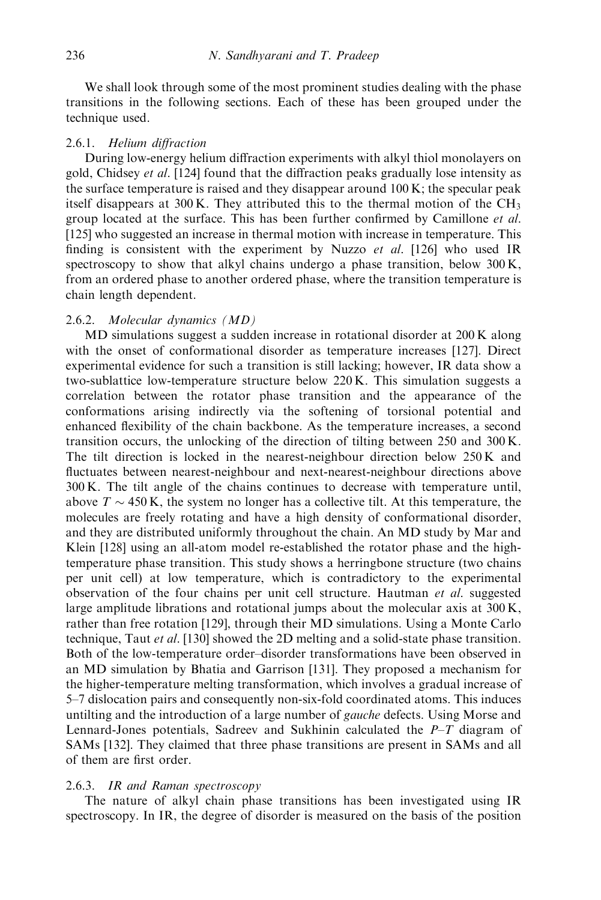We shall look through some of the most prominent studies dealing with the phase transitions in the following sections. Each of these has been grouped under the technique used.

### 2.6.1. Helium diffraction

During low-energy helium diffraction experiments with alkyl thiol monolayers on gold, Chidsey et al. [124] found that the diffraction peaks gradually lose intensity as the surface temperature is raised and they disappear around  $100 \text{ K}$ ; the specular peak itself disappears at 300 K. They attributed this to the thermal motion of the CH<sub>3</sub> group located at the surface. This has been further confirmed by Camillone et al. [125] who suggested an increase in thermal motion with increase in temperature. This finding is consistent with the experiment by Nuzzo *et al.* [126] who used IR spectroscopy to show that alkyl chains undergo a phase transition, below 300 K, from an ordered phase to another ordered phase, where the transition temperature is chain length dependent.

# 2.6.2. Molecular dynamics (MD)

MD simulations suggest a sudden increase in rotational disorder at 200 K along with the onset of conformational disorder as temperature increases [127]. Direct experimental evidence for such a transition is still lacking; however, IR data show a two-sublattice low-temperature structure below 220 K. This simulation suggests a correlation between the rotator phase transition and the appearance of the conformations arising indirectly via the softening of torsional potential and enhanced flexibility of the chain backbone. As the temperature increases, a second transition occurs, the unlocking of the direction of tilting between 250 and 300 K. The tilt direction is locked in the nearest-neighbour direction below 250 K and fluctuates between nearest-neighbour and next-nearest-neighbour directions above 300 K. The tilt angle of the chains continues to decrease with temperature until, above  $T \sim 450$  K, the system no longer has a collective tilt. At this temperature, the molecules are freely rotating and have a high density of conformational disorder, and they are distributed uniformly throughout the chain. An MD study by Mar and Klein [128] using an all-atom model re-established the rotator phase and the hightemperature phase transition. This study shows a herringbone structure (two chains per unit cell) at low temperature, which is contradictory to the experimental observation of the four chains per unit cell structure. Hautman et al. suggested large amplitude librations and rotational jumps about the molecular axis at 300 K, rather than free rotation [129], through their MD simulations. Using a Monte Carlo technique, Taut et al. [130] showed the 2D melting and a solid-state phase transition. Both of the low-temperature order–disorder transformations have been observed in an MD simulation by Bhatia and Garrison [131]. They proposed a mechanism for the higher-temperature melting transformation, which involves a gradual increase of 5–7 dislocation pairs and consequently non-six-fold coordinated atoms. This induces untilting and the introduction of a large number of *gauche* defects. Using Morse and Lennard-Jones potentials, Sadreev and Sukhinin calculated the  $P-T$  diagram of SAMs [132]. They claimed that three phase transitions are present in SAMs and all of them are first order.

# 2.6.3. IR and Raman spectroscopy

The nature of alkyl chain phase transitions has been investigated using IR spectroscopy. In IR, the degree of disorder is measured on the basis of the position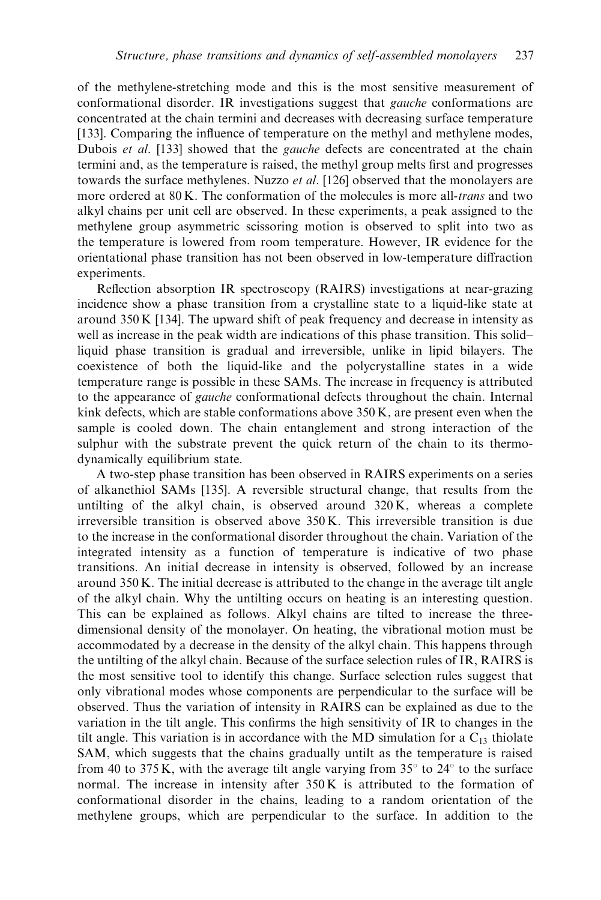of the methylene-stretching mode and this is the most sensitive measurement of conformational disorder. IR investigations suggest that gauche conformations are concentrated at the chain termini and decreases with decreasing surface temperature [133]. Comparing the influence of temperature on the methyl and methylene modes, Dubois et al. [133] showed that the *gauche* defects are concentrated at the chain termini and, as the temperature is raised, the methyl group melts first and progresses towards the surface methylenes. Nuzzo *et al.* [126] observed that the monolayers are more ordered at 80 K. The conformation of the molecules is more all-*trans* and two alkyl chains per unit cell are observed. In these experiments, a peak assigned to the methylene group asymmetric scissoring motion is observed to split into two as the temperature is lowered from room temperature. However, IR evidence for the orientational phase transition has not been observed in low-temperature diffraction experiments.

Reflection absorption IR spectroscopy (RAIRS) investigations at near-grazing incidence show a phase transition from a crystalline state to a liquid-like state at around 350 K [134]. The upward shift of peak frequency and decrease in intensity as well as increase in the peak width are indications of this phase transition. This solid– liquid phase transition is gradual and irreversible, unlike in lipid bilayers. The coexistence of both the liquid-like and the polycrystalline states in a wide temperature range is possible in these SAMs. The increase in frequency is attributed to the appearance of *gauche* conformational defects throughout the chain. Internal kink defects, which are stable conformations above  $350 K$ , are present even when the sample is cooled down. The chain entanglement and strong interaction of the sulphur with the substrate prevent the quick return of the chain to its thermodynamically equilibrium state.

A two-step phase transition has been observed in RAIRS experiments on a series of alkanethiol SAMs [135]. A reversible structural change, that results from the untilting of the alkyl chain, is observed around  $320 \text{ K}$ , whereas a complete irreversible transition is observed above 350 K. This irreversible transition is due to the increase in the conformational disorder throughout the chain. Variation of the integrated intensity as a function of temperature is indicative of two phase transitions. An initial decrease in intensity is observed, followed by an increase around 350 K. The initial decrease is attributed to the change in the average tilt angle of the alkyl chain. Why the untilting occurs on heating is an interesting question. This can be explained as follows. Alkyl chains are tilted to increase the threedimensional density of the monolayer. On heating, the vibrational motion must be accommodated by a decrease in the density of the alkyl chain. This happens through the untilting of the alkyl chain. Because of the surface selection rules of IR, RAIRS is the most sensitive tool to identify this change. Surface selection rules suggest that only vibrational modes whose components are perpendicular to the surface will be observed. Thus the variation of intensity in RAIRS can be explained as due to the variation in the tilt angle. This confirms the high sensitivity of IR to changes in the tilt angle. This variation is in accordance with the MD simulation for a  $C_{13}$  thiolate SAM, which suggests that the chains gradually untilt as the temperature is raised from 40 to 375 K, with the average tilt angle varying from  $35^{\circ}$  to  $24^{\circ}$  to the surface normal. The increase in intensity after 350 K is attributed to the formation of conformational disorder in the chains, leading to a random orientation of the methylene groups, which are perpendicular to the surface. In addition to the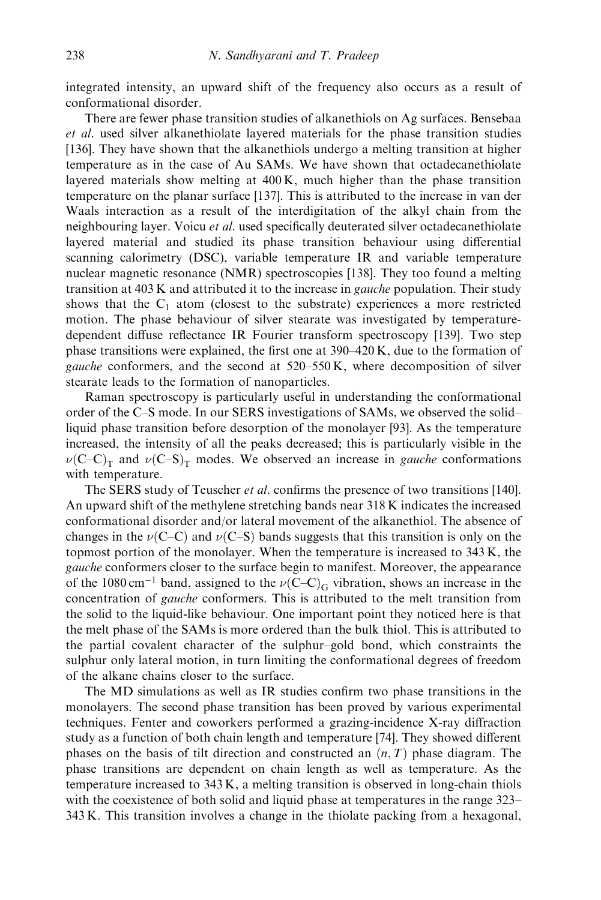integrated intensity, an upward shift of the frequency also occurs as a result of conformational disorder.

There are fewer phase transition studies of alkanethiols on Ag surfaces. Bensebaa et al. used silver alkanethiolate layered materials for the phase transition studies [136]. They have shown that the alkanethiols undergo a melting transition at higher temperature as in the case of Au SAMs. We have shown that octadecanethiolate layered materials show melting at  $400 \text{ K}$ , much higher than the phase transition temperature on the planar surface [137]. This is attributed to the increase in van der Waals interaction as a result of the interdigitation of the alkyl chain from the neighbouring layer. Voicu *et al.* used specifically deuterated silver octadecanethiolate layered material and studied its phase transition behaviour using differential scanning calorimetry (DSC), variable temperature IR and variable temperature nuclear magnetic resonance (NMR) spectroscopies [138]. They too found a melting transition at 403 K and attributed it to the increase in gauche population. Their study shows that the  $C_1$  atom (closest to the substrate) experiences a more restricted motion. The phase behaviour of silver stearate was investigated by temperaturedependent diffuse reflectance IR Fourier transform spectroscopy [139]. Two step phase transitions were explained, the first one at 390–420 K, due to the formation of gauche conformers, and the second at 520–550 K, where decomposition of silver stearate leads to the formation of nanoparticles.

Raman spectroscopy is particularly useful in understanding the conformational order of the C–S mode. In our SERS investigations of SAMs, we observed the solid– liquid phase transition before desorption of the monolayer [93]. As the temperature increased, the intensity of all the peaks decreased; this is particularly visible in the  $\nu(C-C)<sub>T</sub>$  and  $\nu(C-S)<sub>T</sub>$  modes. We observed an increase in *gauche* conformations with temperature.

The SERS study of Teuscher *et al.* confirms the presence of two transitions [140]. An upward shift of the methylene stretching bands near 318 K indicates the increased conformational disorder and/or lateral movement of the alkanethiol. The absence of changes in the  $\nu$ (C–C) and  $\nu$ (C–S) bands suggests that this transition is only on the topmost portion of the monolayer. When the temperature is increased to 343 K, the gauche conformers closer to the surface begin to manifest. Moreover, the appearance of the 1080 cm<sup>-1</sup> band, assigned to the  $\nu$ (C-C)<sub>G</sub> vibration, shows an increase in the concentration of gauche conformers. This is attributed to the melt transition from the solid to the liquid-like behaviour. One important point they noticed here is that the melt phase of the SAMs is more ordered than the bulk thiol. This is attributed to the partial covalent character of the sulphur–gold bond, which constraints the sulphur only lateral motion, in turn limiting the conformational degrees of freedom of the alkane chains closer to the surface.

The MD simulations as well as IR studies confirm two phase transitions in the monolayers. The second phase transition has been proved by various experimental techniques. Fenter and coworkers performed a grazing-incidence X-ray diffraction study as a function of both chain length and temperature [74]. They showed different phases on the basis of tilt direction and constructed an  $(n, T)$  phase diagram. The phase transitions are dependent on chain length as well as temperature. As the temperature increased to 343 K, a melting transition is observed in long-chain thiols with the coexistence of both solid and liquid phase at temperatures in the range 323– 343 K. This transition involves a change in the thiolate packing from a hexagonal,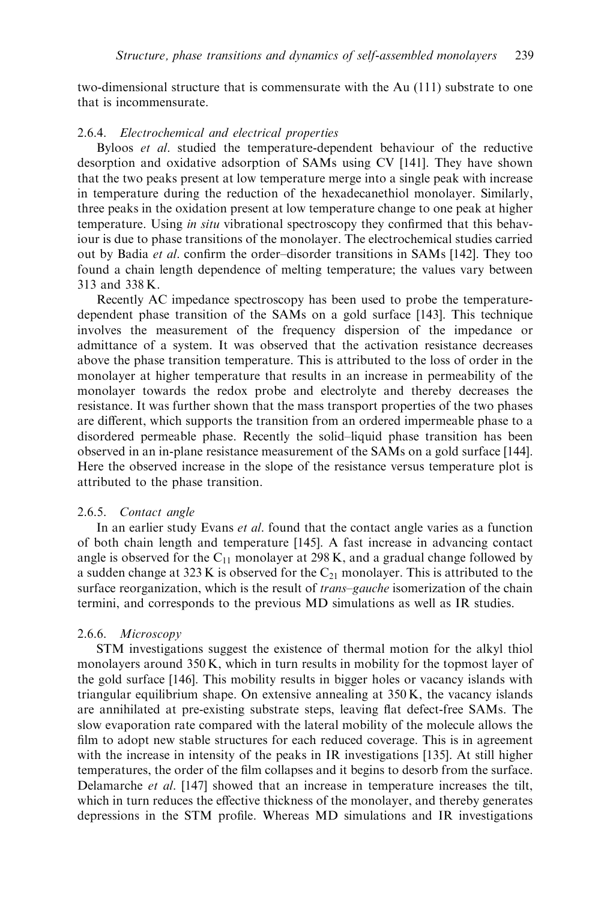two-dimensional structure that is commensurate with the Au (111) substrate to one that is incommensurate.

### 2.6.4. Electrochemical and electrical properties

Byloos et al. studied the temperature-dependent behaviour of the reductive desorption and oxidative adsorption of SAMs using CV [141]. They have shown that the two peaks present at low temperature merge into a single peak with increase in temperature during the reduction of the hexadecanethiol monolayer. Similarly, three peaks in the oxidation present at low temperature change to one peak at higher temperature. Using in situ vibrational spectroscopy they confirmed that this behaviour is due to phase transitions of the monolayer. The electrochemical studies carried out by Badia et al. confirm the order–disorder transitions in SAMs [142]. They too found a chain length dependence of melting temperature; the values vary between 313 and 338 K.

Recently AC impedance spectroscopy has been used to probe the temperaturedependent phase transition of the SAMs on a gold surface [143]. This technique involves the measurement of the frequency dispersion of the impedance or admittance of a system. It was observed that the activation resistance decreases above the phase transition temperature. This is attributed to the loss of order in the monolayer at higher temperature that results in an increase in permeability of the monolayer towards the redox probe and electrolyte and thereby decreases the resistance. It was further shown that the mass transport properties of the two phases are different, which supports the transition from an ordered impermeable phase to a disordered permeable phase. Recently the solid–liquid phase transition has been observed in an in-plane resistance measurement of the SAMs on a gold surface [144]. Here the observed increase in the slope of the resistance versus temperature plot is attributed to the phase transition.

### 2.6.5. Contact angle

In an earlier study Evans et al. found that the contact angle varies as a function of both chain length and temperature [145]. A fast increase in advancing contact angle is observed for the  $C_{11}$  monolayer at 298 K, and a gradual change followed by a sudden change at 323 K is observed for the  $C_{21}$  monolayer. This is attributed to the surface reorganization, which is the result of *trans–gauche* isomerization of the chain termini, and corresponds to the previous MD simulations as well as IR studies.

### 2.6.6. Microscopy

STM investigations suggest the existence of thermal motion for the alkyl thiol monolayers around 350 K, which in turn results in mobility for the topmost layer of the gold surface [146]. This mobility results in bigger holes or vacancy islands with triangular equilibrium shape. On extensive annealing at  $350 \text{ K}$ , the vacancy islands are annihilated at pre-existing substrate steps, leaving flat defect-free SAMs. The slow evaporation rate compared with the lateral mobility of the molecule allows the film to adopt new stable structures for each reduced coverage. This is in agreement with the increase in intensity of the peaks in IR investigations [135]. At still higher temperatures, the order of the film collapses and it begins to desorb from the surface. Delamarche *et al.* [147] showed that an increase in temperature increases the tilt, which in turn reduces the effective thickness of the monolayer, and thereby generates depressions in the STM profile. Whereas MD simulations and IR investigations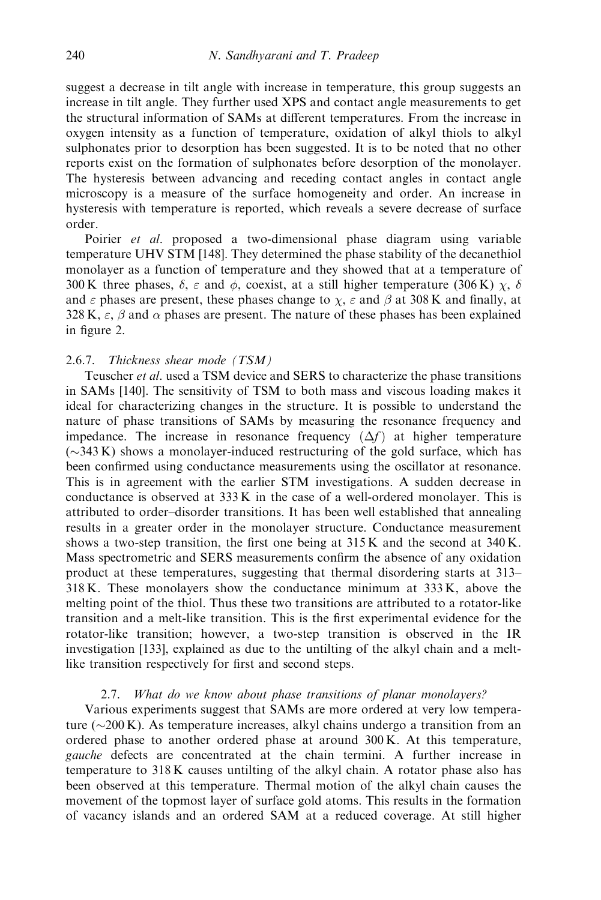suggest a decrease in tilt angle with increase in temperature, this group suggests an increase in tilt angle. They further used XPS and contact angle measurements to get the structural information of SAMs at different temperatures. From the increase in oxygen intensity as a function of temperature, oxidation of alkyl thiols to alkyl sulphonates prior to desorption has been suggested. It is to be noted that no other reports exist on the formation of sulphonates before desorption of the monolayer. The hysteresis between advancing and receding contact angles in contact angle microscopy is a measure of the surface homogeneity and order. An increase in hysteresis with temperature is reported, which reveals a severe decrease of surface order.

Poirier et al. proposed a two-dimensional phase diagram using variable temperature UHV STM [148]. They determined the phase stability of the decanethiol monolayer as a function of temperature and they showed that at a temperature of 300 K three phases,  $\delta$ ,  $\varepsilon$  and  $\phi$ , coexist, at a still higher temperature (306 K)  $\chi$ ,  $\delta$ and  $\varepsilon$  phases are present, these phases change to  $\chi$ ,  $\varepsilon$  and  $\beta$  at 308 K and finally, at 328 K,  $\epsilon$ ,  $\beta$  and  $\alpha$  phases are present. The nature of these phases has been explained in figure 2.

# 2.6.7. Thickness shear mode (TSM)

Teuscher et al. used a TSM device and SERS to characterize the phase transitions in SAMs [140]. The sensitivity of TSM to both mass and viscous loading makes it ideal for characterizing changes in the structure. It is possible to understand the nature of phase transitions of SAMs by measuring the resonance frequency and impedance. The increase in resonance frequency  $(\Delta f)$  at higher temperature  $(\sim$ 343 K) shows a monolayer-induced restructuring of the gold surface, which has been confirmed using conductance measurements using the oscillator at resonance. This is in agreement with the earlier STM investigations. A sudden decrease in conductance is observed at 333 K in the case of a well-ordered monolayer. This is attributed to order–disorder transitions. It has been well established that annealing results in a greater order in the monolayer structure. Conductance measurement shows a two-step transition, the first one being at 315 K and the second at 340 K. Mass spectrometric and SERS measurements confirm the absence of any oxidation product at these temperatures, suggesting that thermal disordering starts at 313– 318 K. These monolayers show the conductance minimum at 333 K, above the melting point of the thiol. Thus these two transitions are attributed to a rotator-like transition and a melt-like transition. This is the first experimental evidence for the rotator-like transition; however, a two-step transition is observed in the IR investigation [133], explained as due to the untilting of the alkyl chain and a meltlike transition respectively for first and second steps.

# 2.7. What do we know about phase transitions of planar monolayers?

Various experiments suggest that SAMs are more ordered at very low temperature ( $\sim$ 200 K). As temperature increases, alkyl chains undergo a transition from an ordered phase to another ordered phase at around 300 K. At this temperature, gauche defects are concentrated at the chain termini. A further increase in temperature to 318 K causes untilting of the alkyl chain. A rotator phase also has been observed at this temperature. Thermal motion of the alkyl chain causes the movement of the topmost layer of surface gold atoms. This results in the formation of vacancy islands and an ordered SAM at a reduced coverage. At still higher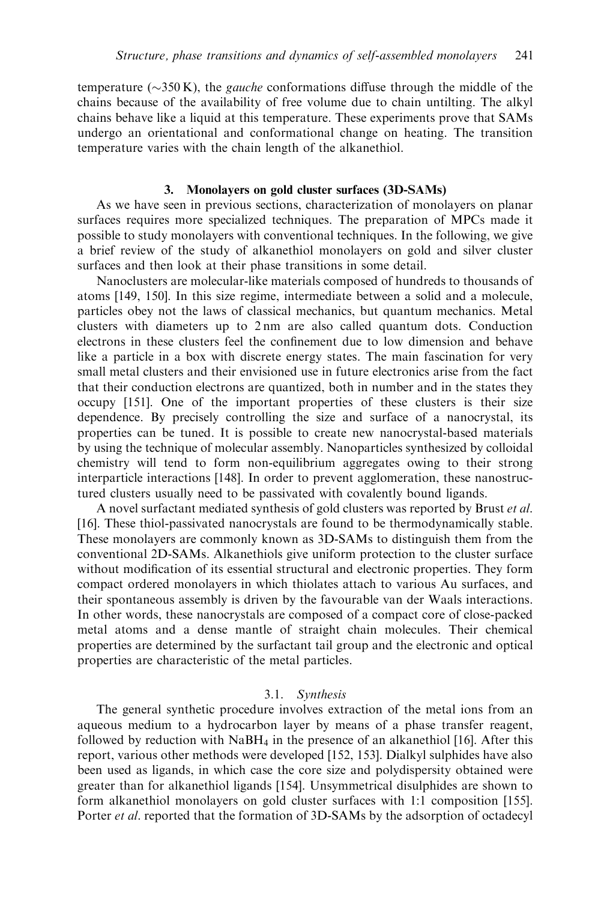temperature ( $\sim$ 350 K), the *gauche* conformations diffuse through the middle of the chains because of the availability of free volume due to chain untilting. The alkyl chains behave like a liquid at this temperature. These experiments prove that SAMs undergo an orientational and conformational change on heating. The transition temperature varies with the chain length of the alkanethiol.

# 3. Monolayers on gold cluster surfaces (3D-SAMs)

As we have seen in previous sections, characterization of monolayers on planar surfaces requires more specialized techniques. The preparation of MPCs made it possible to study monolayers with conventional techniques. In the following, we give a brief review of the study of alkanethiol monolayers on gold and silver cluster surfaces and then look at their phase transitions in some detail.

Nanoclusters are molecular-like materials composed of hundreds to thousands of atoms [149, 150]. In this size regime, intermediate between a solid and a molecule, particles obey not the laws of classical mechanics, but quantum mechanics. Metal clusters with diameters up to 2 nm are also called quantum dots. Conduction electrons in these clusters feel the confinement due to low dimension and behave like a particle in a box with discrete energy states. The main fascination for very small metal clusters and their envisioned use in future electronics arise from the fact that their conduction electrons are quantized, both in number and in the states they occupy [151]. One of the important properties of these clusters is their size dependence. By precisely controlling the size and surface of a nanocrystal, its properties can be tuned. It is possible to create new nanocrystal-based materials by using the technique of molecular assembly. Nanoparticles synthesized by colloidal chemistry will tend to form non-equilibrium aggregates owing to their strong interparticle interactions [148]. In order to prevent agglomeration, these nanostructured clusters usually need to be passivated with covalently bound ligands.

A novel surfactant mediated synthesis of gold clusters was reported by Brust et al. [16]. These thiol-passivated nanocrystals are found to be thermodynamically stable. These monolayers are commonly known as 3D-SAMs to distinguish them from the conventional 2D-SAMs. Alkanethiols give uniform protection to the cluster surface without modification of its essential structural and electronic properties. They form compact ordered monolayers in which thiolates attach to various Au surfaces, and their spontaneous assembly is driven by the favourable van der Waals interactions. In other words, these nanocrystals are composed of a compact core of close-packed metal atoms and a dense mantle of straight chain molecules. Their chemical properties are determined by the surfactant tail group and the electronic and optical properties are characteristic of the metal particles.

### 3.1. Synthesis

The general synthetic procedure involves extraction of the metal ions from an aqueous medium to a hydrocarbon layer by means of a phase transfer reagent, followed by reduction with  $N$ aBH<sub>4</sub> in the presence of an alkanethiol [16]. After this report, various other methods were developed [152, 153]. Dialkyl sulphides have also been used as ligands, in which case the core size and polydispersity obtained were greater than for alkanethiol ligands [154]. Unsymmetrical disulphides are shown to form alkanethiol monolayers on gold cluster surfaces with 1:1 composition [155]. Porter *et al.* reported that the formation of 3D-SAMs by the adsorption of octadecyl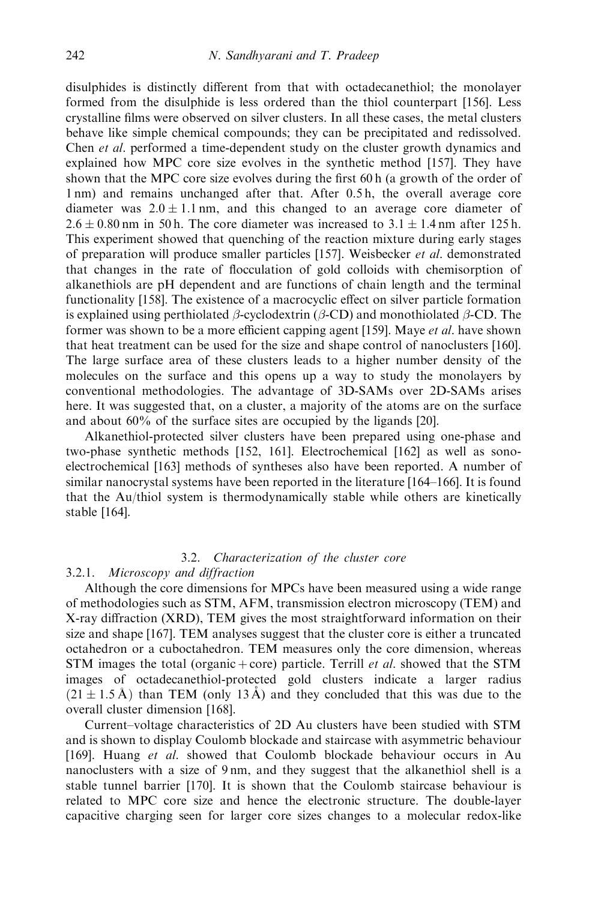disulphides is distinctly different from that with octadecanethiol; the monolayer formed from the disulphide is less ordered than the thiol counterpart [156]. Less crystalline films were observed on silver clusters. In all these cases, the metal clusters behave like simple chemical compounds; they can be precipitated and redissolved. Chen et al. performed a time-dependent study on the cluster growth dynamics and explained how MPC core size evolves in the synthetic method [157]. They have shown that the MPC core size evolves during the first 60 h (a growth of the order of 1 nm) and remains unchanged after that. After 0.5 h, the overall average core diameter was  $2.0 \pm 1.1$  nm, and this changed to an average core diameter of  $2.6 \pm 0.80$  nm in 50 h. The core diameter was increased to  $3.1 \pm 1.4$  nm after 125 h. This experiment showed that quenching of the reaction mixture during early stages of preparation will produce smaller particles [157]. Weisbecker et al. demonstrated that changes in the rate of flocculation of gold colloids with chemisorption of alkanethiols are pH dependent and are functions of chain length and the terminal functionality [158]. The existence of a macrocyclic effect on silver particle formation is explained using perthiolated  $\beta$ -cyclodextrin ( $\beta$ -CD) and monothiolated  $\beta$ -CD. The former was shown to be a more efficient capping agent [159]. Maye et al. have shown that heat treatment can be used for the size and shape control of nanoclusters [160]. The large surface area of these clusters leads to a higher number density of the molecules on the surface and this opens up a way to study the monolayers by conventional methodologies. The advantage of 3D-SAMs over 2D-SAMs arises here. It was suggested that, on a cluster, a majority of the atoms are on the surface and about 60% of the surface sites are occupied by the ligands [20].

Alkanethiol-protected silver clusters have been prepared using one-phase and two-phase synthetic methods [152, 161]. Electrochemical [162] as well as sonoelectrochemical [163] methods of syntheses also have been reported. A number of similar nanocrystal systems have been reported in the literature [164–166]. It is found that the Au/thiol system is thermodynamically stable while others are kinetically stable [164].

# 3.2. Characterization of the cluster core

### 3.2.1. Microscopy and diffraction

Although the core dimensions for MPCs have been measured using a wide range of methodologies such as STM, AFM, transmission electron microscopy (TEM) and X-ray diffraction (XRD), TEM gives the most straightforward information on their size and shape [167]. TEM analyses suggest that the cluster core is either a truncated octahedron or a cuboctahedron. TEM measures only the core dimension, whereas STM images the total (organic + core) particle. Terrill *et al.* showed that the STM images of octadecanethiol-protected gold clusters indicate a larger radius  $(21 \pm 1.5 \text{ Å})$  than TEM (only 13 Å) and they concluded that this was due to the overall cluster dimension [168].

Current–voltage characteristics of 2D Au clusters have been studied with STM and is shown to display Coulomb blockade and staircase with asymmetric behaviour [169]. Huang et al. showed that Coulomb blockade behaviour occurs in Au nanoclusters with a size of 9 nm, and they suggest that the alkanethiol shell is a stable tunnel barrier [170]. It is shown that the Coulomb staircase behaviour is related to MPC core size and hence the electronic structure. The double-layer capacitive charging seen for larger core sizes changes to a molecular redox-like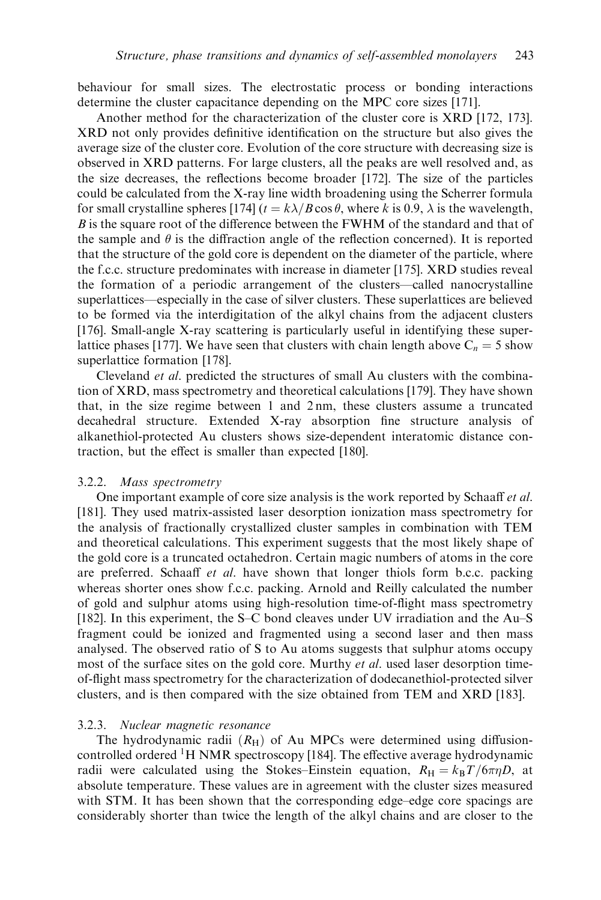behaviour for small sizes. The electrostatic process or bonding interactions determine the cluster capacitance depending on the MPC core sizes [171].

Another method for the characterization of the cluster core is XRD [172, 173]. XRD not only provides definitive identification on the structure but also gives the average size of the cluster core. Evolution of the core structure with decreasing size is observed in XRD patterns. For large clusters, all the peaks are well resolved and, as the size decreases, the reflections become broader [172]. The size of the particles could be calculated from the X-ray line width broadening using the Scherrer formula for small crystalline spheres [174]  $(t = k\lambda/B\cos\theta$ , where k is 0.9,  $\lambda$  is the wavelength,  $B$  is the square root of the difference between the FWHM of the standard and that of the sample and  $\theta$  is the diffraction angle of the reflection concerned). It is reported that the structure of the gold core is dependent on the diameter of the particle, where the f.c.c. structure predominates with increase in diameter [175]. XRD studies reveal the formation of a periodic arrangement of the clusters—called nanocrystalline superlattices—especially in the case of silver clusters. These superlattices are believed to be formed via the interdigitation of the alkyl chains from the adjacent clusters [176]. Small-angle X-ray scattering is particularly useful in identifying these superlattice phases [177]. We have seen that clusters with chain length above  $C_n = 5$  show superlattice formation [178].

Cleveland et al. predicted the structures of small Au clusters with the combination of XRD, mass spectrometry and theoretical calculations [179]. They have shown that, in the size regime between 1 and 2 nm, these clusters assume a truncated decahedral structure. Extended X-ray absorption fine structure analysis of alkanethiol-protected Au clusters shows size-dependent interatomic distance contraction, but the effect is smaller than expected [180].

### 3.2.2. Mass spectrometry

One important example of core size analysis is the work reported by Schaaff *et al.* [181]. They used matrix-assisted laser desorption ionization mass spectrometry for the analysis of fractionally crystallized cluster samples in combination with TEM and theoretical calculations. This experiment suggests that the most likely shape of the gold core is a truncated octahedron. Certain magic numbers of atoms in the core are preferred. Schaaff et al. have shown that longer thiols form b.c.c. packing whereas shorter ones show f.c.c. packing. Arnold and Reilly calculated the number of gold and sulphur atoms using high-resolution time-of-flight mass spectrometry [182]. In this experiment, the S–C bond cleaves under UV irradiation and the Au–S fragment could be ionized and fragmented using a second laser and then mass analysed. The observed ratio of S to Au atoms suggests that sulphur atoms occupy most of the surface sites on the gold core. Murthy *et al.* used laser desorption timeof-flight mass spectrometry for the characterization of dodecanethiol-protected silver clusters, and is then compared with the size obtained from TEM and XRD [183].

#### 3.2.3. Nuclear magnetic resonance

The hydrodynamic radii  $(R_H)$  of Au MPCs were determined using diffusioncontrolled ordered  ${}^{1}$ H NMR spectroscopy [184]. The effective average hydrodynamic radii were calculated using the Stokes–Einstein equation,  $R_H = k_B T/6\pi\eta D$ , at absolute temperature. These values are in agreement with the cluster sizes measured with STM. It has been shown that the corresponding edge–edge core spacings are considerably shorter than twice the length of the alkyl chains and are closer to the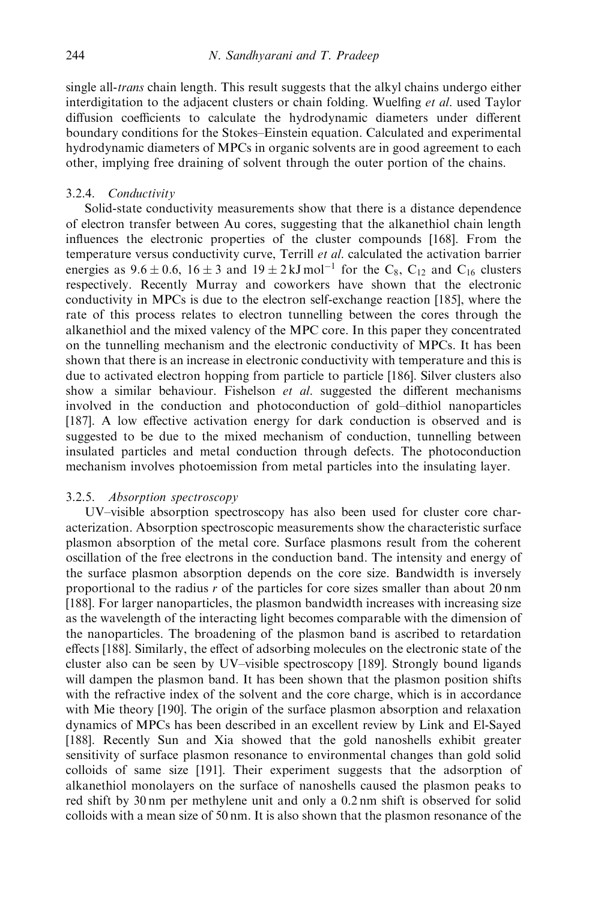single all-*trans* chain length. This result suggests that the alkyl chains undergo either interdigitation to the adjacent clusters or chain folding. Wuelfing et al. used Taylor diffusion coefficients to calculate the hydrodynamic diameters under different boundary conditions for the Stokes–Einstein equation. Calculated and experimental hydrodynamic diameters of MPCs in organic solvents are in good agreement to each other, implying free draining of solvent through the outer portion of the chains.

### 3.2.4. Conductivity

Solid-state conductivity measurements show that there is a distance dependence of electron transfer between Aucores, suggesting that the alkanethiol chain length influences the electronic properties of the cluster compounds [168]. From the temperature versus conductivity curve, Terrill et al. calculated the activation barrier energies as  $9.6 \pm 0.6$ ,  $16 \pm 3$  and  $19 \pm 2$  kJ mol<sup>-1</sup> for the C<sub>8</sub>, C<sub>12</sub> and C<sub>16</sub> clusters respectively. Recently Murray and coworkers have shown that the electronic conductivity in MPCs is due to the electron self-exchange reaction [185], where the rate of this process relates to electron tunnelling between the cores through the alkanethiol and the mixed valency of the MPC core. In this paper they concentrated on the tunnelling mechanism and the electronic conductivity of MPCs. It has been shown that there is an increase in electronic conductivity with temperature and this is due to activated electron hopping from particle to particle [186]. Silver clusters also show a similar behaviour. Fishelson et al. suggested the different mechanisms involved in the conduction and photoconduction of gold–dithiol nanoparticles [187]. A low effective activation energy for dark conduction is observed and is suggested to be due to the mixed mechanism of conduction, tunnelling between insulated particles and metal conduction through defects. The photoconduction mechanism involves photoemission from metal particles into the insulating layer.

### 3.2.5. Absorption spectroscopy

UV–visible absorption spectroscopy has also been used for cluster core characterization. Absorption spectroscopic measurements show the characteristic surface plasmon absorption of the metal core. Surface plasmons result from the coherent oscillation of the free electrons in the conduction band. The intensity and energy of the surface plasmon absorption depends on the core size. Bandwidth is inversely proportional to the radius  $r$  of the particles for core sizes smaller than about 20 nm [188]. For larger nanoparticles, the plasmon bandwidth increases with increasing size as the wavelength of the interacting light becomes comparable with the dimension of the nanoparticles. The broadening of the plasmon band is ascribed to retardation effects [188]. Similarly, the effect of adsorbing molecules on the electronic state of the cluster also can be seen by UV–visible spectroscopy [189]. Strongly bound ligands will dampen the plasmon band. It has been shown that the plasmon position shifts with the refractive index of the solvent and the core charge, which is in accordance with Mie theory [190]. The origin of the surface plasmon absorption and relaxation dynamics of MPCs has been described in an excellent review by Link and El-Sayed [188]. Recently Sun and Xia showed that the gold nanoshells exhibit greater sensitivity of surface plasmon resonance to environmental changes than gold solid colloids of same size [191]. Their experiment suggests that the adsorption of alkanethiol monolayers on the surface of nanoshells caused the plasmon peaks to red shift by 30 nm per methylene unit and only a 0.2 nm shift is observed for solid colloids with a mean size of 50 nm. It is also shown that the plasmon resonance of the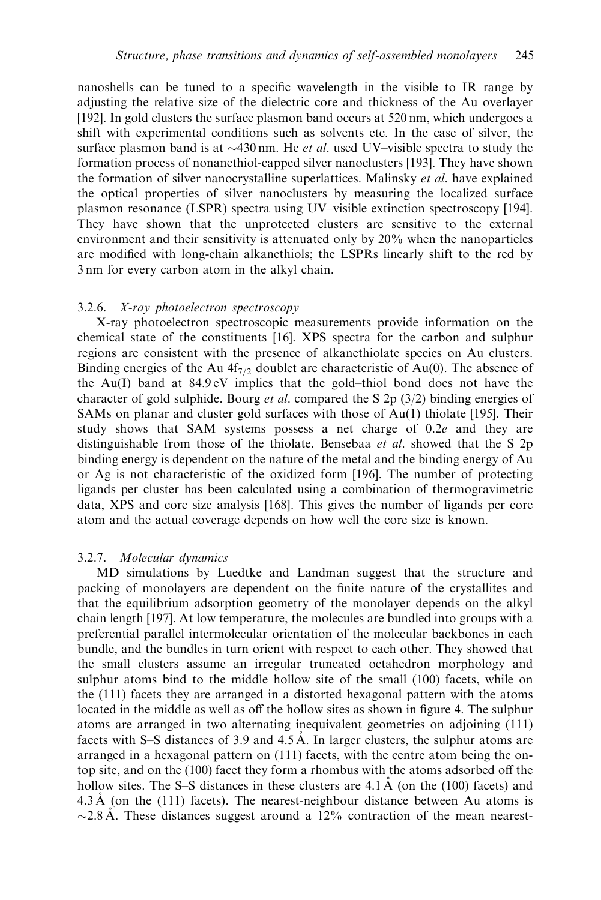nanoshells can be tuned to a specific wavelength in the visible to IR range by adjusting the relative size of the dielectric core and thickness of the Au overlayer [192]. In gold clusters the surface plasmon band occurs at 520 nm, which undergoes a shift with experimental conditions such as solvents etc. In the case of silver, the surface plasmon band is at  $\sim$ 430 nm. He *et al.* used UV–visible spectra to study the formation process of nonanethiol-capped silver nanoclusters [193]. They have shown the formation of silver nanocrystalline superlattices. Malinsky et al. have explained the optical properties of silver nanoclusters by measuring the localized surface plasmon resonance (LSPR) spectra using UV–visible extinction spectroscopy [194]. They have shown that the unprotected clusters are sensitive to the external environment and their sensitivity is attenuated only by 20% when the nanoparticles are modified with long-chain alkanethiols; the LSPRs linearly shift to the red by 3 nm for every carbon atom in the alkyl chain.

# 3.2.6. X-ray photoelectron spectroscopy

X-ray photoelectron spectroscopic measurements provide information on the chemical state of the constituents [16]. XPS spectra for the carbon and sulphur regions are consistent with the presence of alkanethiolate species on Auclusters. Binding energies of the Au  $4f_{7/2}$  doublet are characteristic of Au(0). The absence of the Au(I) band at 84.9 eV implies that the gold–thiol bond does not have the character of gold sulphide. Bourg *et al.* compared the S 2p  $(3/2)$  binding energies of SAMs on planar and cluster gold surfaces with those of Au(1) thiolate [195]. Their study shows that SAM systems possess a net charge of 0.2e and they are distinguishable from those of the thiolate. Bensebaa et al. showed that the S 2p binding energy is dependent on the nature of the metal and the binding energy of Au or Ag is not characteristic of the oxidized form [196]. The number of protecting ligands per cluster has been calculated using a combination of thermogravimetric data, XPS and core size analysis [168]. This gives the number of ligands per core atom and the actual coverage depends on how well the core size is known.

# 3.2.7. Molecular dynamics

MD simulations by Luedtke and Landman suggest that the structure and packing of monolayers are dependent on the finite nature of the crystallites and that the equilibrium adsorption geometry of the monolayer depends on the alkyl chain length [197]. At low temperature, the molecules are bundled into groups with a preferential parallel intermolecular orientation of the molecular backbones in each bundle, and the bundles in turn orient with respect to each other. They showed that the small clusters assume an irregular truncated octahedron morphology and sulphur atoms bind to the middle hollow site of the small (100) facets, while on the (111) facets they are arranged in a distorted hexagonal pattern with the atoms located in the middle as well as off the hollow sites as shown in figure 4. The sulphur atoms are arranged in two alternating inequivalent geometries on adjoining (111) facets with S–S distances of 3.9 and  $4.5 \text{\AA}$ . In larger clusters, the sulphur atoms are arranged in a hexagonal pattern on (111) facets, with the centre atom being the ontop site, and on the (100) facet they form a rhombus with the atoms adsorbed off the hollow sites. The S–S distances in these clusters are  $4.1 \text{ Å}$  (on the (100) facets) and  $4.3 \text{ Å}$  (on the (111) facets). The nearest-neighbour distance between Au atoms is  $\sim$  2.8 Å. These distances suggest around a 12% contraction of the mean nearest-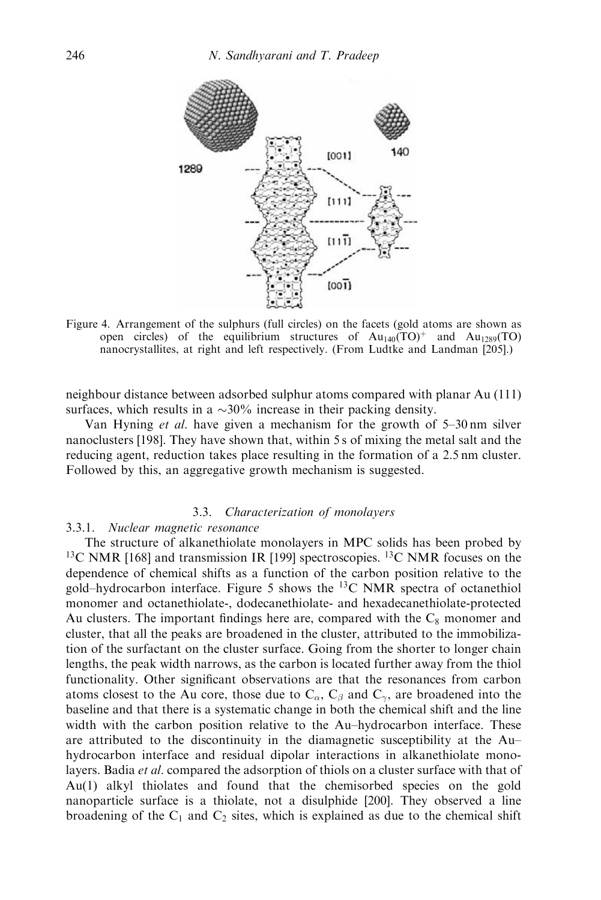

Figure 4. Arrangement of the sulphurs (full circles) on the facets (gold atoms are shown as open circles) of the equilibrium structures of  $Au_{140}(TO)^+$  and  $Au_{1289}(TO)$ nanocrystallites, at right and left respectively. (From Ludtke and Landman [205].)

neighbour distance between adsorbed sulphur atoms compared with planar Au (111) surfaces, which results in a  $\sim$ 30% increase in their packing density.

Van Hyning et al. have given a mechanism for the growth of 5–30 nm silver nanoclusters [198]. They have shown that, within 5 s of mixing the metal salt and the reducing agent, reduction takes place resulting in the formation of a 2.5 nm cluster. Followed by this, an aggregative growth mechanism is suggested.

# 3.3. Characterization of monolayers

# 3.3.1. Nuclear magnetic resonance

The structure of alkanethiolate monolayers in MPC solids has been probed by  $13C$  NMR [168] and transmission IR [199] spectroscopies.  $13C$  NMR focuses on the dependence of chemical shifts as a function of the carbon position relative to the gold–hydrocarbon interface. Figure 5 shows the  $^{13}$ C NMR spectra of octanethiol monomer and octanethiolate-, dodecanethiolate- and hexadecanethiolate-protected Au clusters. The important findings here are, compared with the  $C_8$  monomer and cluster, that all the peaks are broadened in the cluster, attributed to the immobilization of the surfactant on the cluster surface. Going from the shorter to longer chain lengths, the peak width narrows, as the carbon is located further away from the thiol functionality. Other significant observations are that the resonances from carbon atoms closest to the Au core, those due to  $C_{\alpha}$ ,  $C_{\beta}$  and  $C_{\gamma}$ , are broadened into the baseline and that there is a systematic change in both the chemical shift and the line width with the carbon position relative to the Au–hydrocarbon interface. These are attributed to the discontinuity in the diamagnetic susceptibility at the Au– hydrocarbon interface and residual dipolar interactions in alkanethiolate monolayers. Badia *et al.* compared the adsorption of thiols on a cluster surface with that of Au(1) alkyl thiolates and found that the chemisorbed species on the gold nanoparticle surface is a thiolate, not a disulphide [200]. They observed a line broadening of the  $C_1$  and  $C_2$  sites, which is explained as due to the chemical shift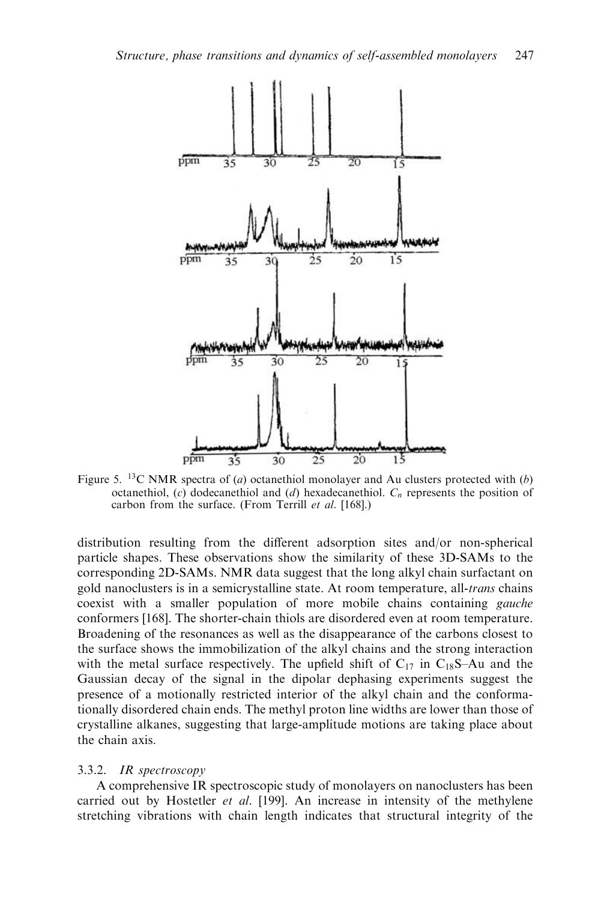

Figure 5. <sup>13</sup>C NMR spectra of (*a*) octanethiol monolayer and Au clusters protected with (*b*) octanethiol,  $(c)$  dodecanethiol and  $(d)$  hexadecanethiol.  $C_n$  represents the position of carbon from the surface. (From Terrill et al. [168].)

distribution resulting from the different adsorption sites and/or non-spherical particle shapes. These observations show the similarity of these 3D-SAMs to the corresponding 2D-SAMs. NMR data suggest that the long alkyl chain surfactant on gold nanoclusters is in a semicrystalline state. At room temperature, all-*trans* chains coexist with a smaller population of more mobile chains containing gauche conformers [168]. The shorter-chain thiols are disordered even at room temperature. Broadening of the resonances as well as the disappearance of the carbons closest to the surface shows the immobilization of the alkyl chains and the strong interaction with the metal surface respectively. The upfield shift of  $C_{17}$  in  $C_{18}S-Au$  and the Gaussian decay of the signal in the dipolar dephasing experiments suggest the presence of a motionally restricted interior of the alkyl chain and the conformationally disordered chain ends. The methyl proton line widths are lower than those of crystalline alkanes, suggesting that large-amplitude motions are taking place about the chain axis.

### 3.3.2. IR spectroscopy

A comprehensive IR spectroscopic study of monolayers on nanoclusters has been carried out by Hostetler et al. [199]. An increase in intensity of the methylene stretching vibrations with chain length indicates that structural integrity of the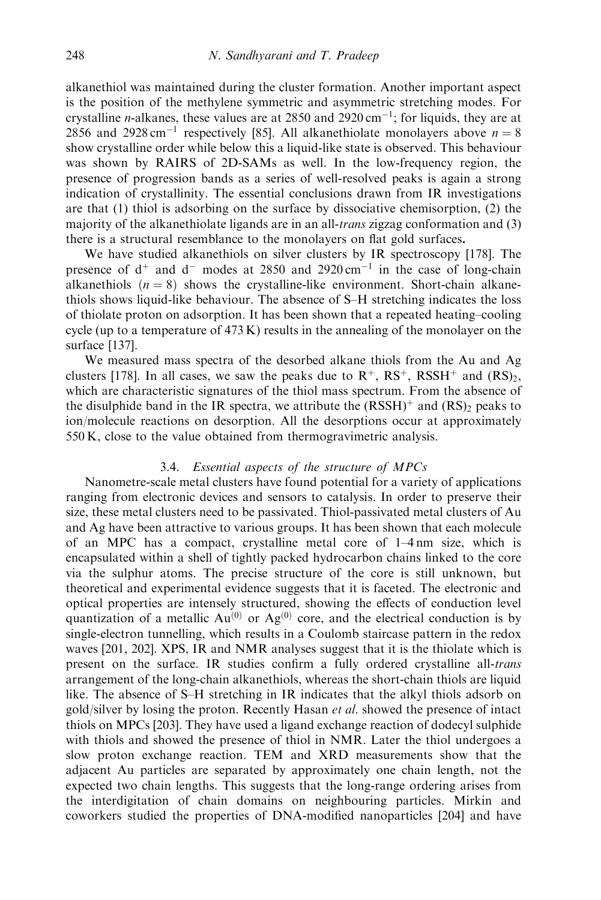alkanethiol was maintained during the cluster formation. Another important aspect is the position of the methylene symmetric and asymmetric stretching modes. For crystalline *n*-alkanes, these values are at 2850 and 2920 cm<sup>-1</sup>; for liquids, they are at 2856 and 2928 cm<sup>-1</sup> respectively [85]. All alkanethiolate monolayers above  $n = 8$ show crystalline order while below this a liquid-like state is observed. This behaviour was shown by RAIRS of 2D-SAMs as well. In the low-frequency region, the presence of progression bands as a series of well-resolved peaks is again a strong indication of crystallinity. The essential conclusions drawn from IR investigations are that (1) thiol is adsorbing on the surface by dissociative chemisorption, (2) the majority of the alkanethiolate ligands are in an all-*trans* zigzag conformation and  $(3)$ there is a structural resemblance to the monolayers on flat gold surfaces.

We have studied alkanethiols on silver clusters by IR spectroscopy [178]. The presence of  $d^+$  and  $d^-$  modes at 2850 and 2920 cm<sup>-1</sup> in the case of long-chain alkanethiols  $(n = 8)$  shows the crystalline-like environment. Short-chain alkanethiols shows liquid-like behaviour. The absence of S–H stretching indicates the loss of thiolate proton on adsorption. It has been shown that a repeated heating–cooling cycle (up to a temperature of  $473 \text{ K}$ ) results in the annealing of the monolayer on the surface [137].

We measured mass spectra of the desorbed alkane thiols from the Au and Ag clusters [178]. In all cases, we saw the peaks due to  $R^+$ ,  $RS^+$ ,  $RSSH^+$  and  $(RS)_2$ , which are characteristic signatures of the thiol mass spectrum. From the absence of the disulphide band in the IR spectra, we attribute the  $(RSSH)^+$  and  $(RS)$ <sub>2</sub> peaks to ion/molecule reactions on desorption. All the desorptions occur at approximately 550 K, close to the value obtained from thermogravimetric analysis.

### 3.4. Essential aspects of the structure of MPCs

Nanometre-scale metal clusters have found potential for a variety of applications ranging from electronic devices and sensors to catalysis. In order to preserve their size, these metal clusters need to be passivated. Thiol-passivated metal clusters of Au and Ag have been attractive to various groups. It has been shown that each molecule of an MPC has a compact, crystalline metal core of 1–4 nm size, which is encapsulated within a shell of tightly packed hydrocarbon chains linked to the core via the sulphur atoms. The precise structure of the core is still unknown, but theoretical and experimental evidence suggests that it is faceted. The electronic and optical properties are intensely structured, showing the effects of conduction level quantization of a metallic  $Au^{(0)}$  or  $Ag^{(0)}$  core, and the electrical conduction is by single-electron tunnelling, which results in a Coulomb staircase pattern in the redox waves [201, 202]. XPS, IR and NMR analyses suggest that it is the thiolate which is present on the surface. IR studies confirm a fully ordered crystalline all-trans arrangement of the long-chain alkanethiols, whereas the short-chain thiols are liquid like. The absence of S–H stretching in IR indicates that the alkyl thiols adsorb on gold/silver by losing the proton. Recently Hasan et al. showed the presence of intact thiols on MPCs [203]. They have used a ligand exchange reaction of dodecyl sulphide with thiols and showed the presence of thiol in NMR. Later the thiol undergoes a slow proton exchange reaction. TEM and XRD measurements show that the adjacent Auparticles are separated by approximately one chain length, not the expected two chain lengths. This suggests that the long-range ordering arises from the interdigitation of chain domains on neighbouring particles. Mirkin and coworkers studied the properties of DNA-modified nanoparticles [204] and have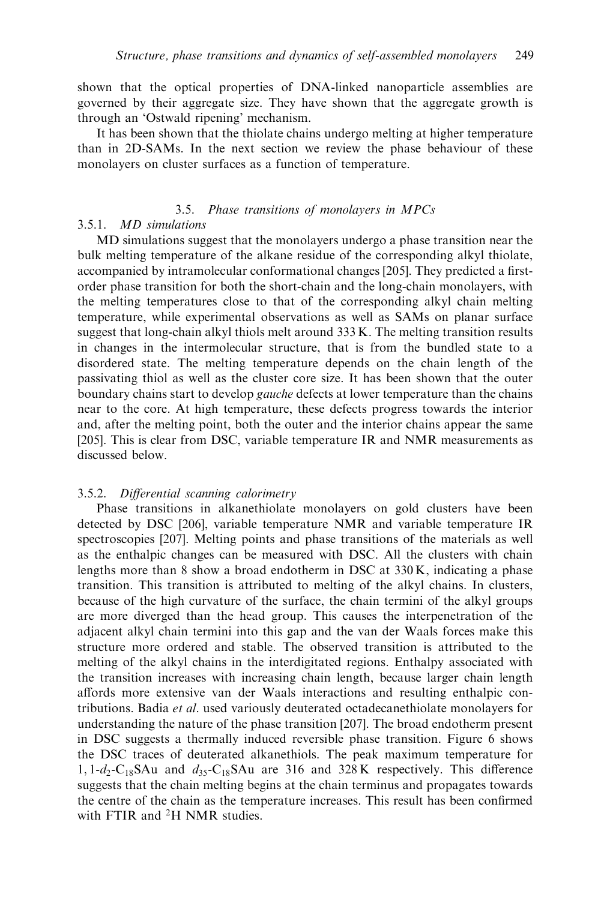shown that the optical properties of DNA-linked nanoparticle assemblies are governed by their aggregate size. They have shown that the aggregate growth is through an 'Ostwald ripening' mechanism.

It has been shown that the thiolate chains undergo melting at higher temperature than in 2D-SAMs. In the next section we review the phase behaviour of these monolayers on cluster surfaces as a function of temperature.

# 3.5. Phase transitions of monolayers in MPCs

# 3.5.1. MD simulations

MD simulations suggest that the monolayers undergo a phase transition near the bulk melting temperature of the alkane residue of the corresponding alkyl thiolate, accompanied by intramolecular conformational changes [205]. They predicted a firstorder phase transition for both the short-chain and the long-chain monolayers, with the melting temperatures close to that of the corresponding alkyl chain melting temperature, while experimental observations as well as SAMs on planar surface suggest that long-chain alkyl thiols melt around 333 K. The melting transition results in changes in the intermolecular structure, that is from the bundled state to a disordered state. The melting temperature depends on the chain length of the passivating thiol as well as the cluster core size. It has been shown that the outer boundary chains start to develop *gauche* defects at lower temperature than the chains near to the core. At high temperature, these defects progress towards the interior and, after the melting point, both the outer and the interior chains appear the same [205]. This is clear from DSC, variable temperature IR and NMR measurements as discussed below.

# 3.5.2. Differential scanning calorimetry

Phase transitions in alkanethiolate monolayers on gold clusters have been detected by DSC [206], variable temperature NMR and variable temperature IR spectroscopies [207]. Melting points and phase transitions of the materials as well as the enthalpic changes can be measured with DSC. All the clusters with chain lengths more than 8 show a broad endotherm in DSC at 330 K, indicating a phase transition. This transition is attributed to melting of the alkyl chains. In clusters, because of the high curvature of the surface, the chain termini of the alkyl groups are more diverged than the head group. This causes the interpenetration of the adjacent alkyl chain termini into this gap and the van der Waals forces make this structure more ordered and stable. The observed transition is attributed to the melting of the alkyl chains in the interdigitated regions. Enthalpy associated with the transition increases with increasing chain length, because larger chain length affords more extensive van der Waals interactions and resulting enthalpic contributions. Badia et al. used variously deuterated octadecanethiolate monolayers for understanding the nature of the phase transition [207]. The broad endotherm present in DSC suggests a thermally induced reversible phase transition. Figure 6 shows the DSC traces of deuterated alkanethiols. The peak maximum temperature for 1,  $1-d_2-C_{18}SAu$  and  $d_{35}-C_{18}SAu$  are 316 and 328 K respectively. This difference suggests that the chain melting begins at the chain terminus and propagates towards the centre of the chain as the temperature increases. This result has been confirmed with FTIR and <sup>2</sup>H NMR studies.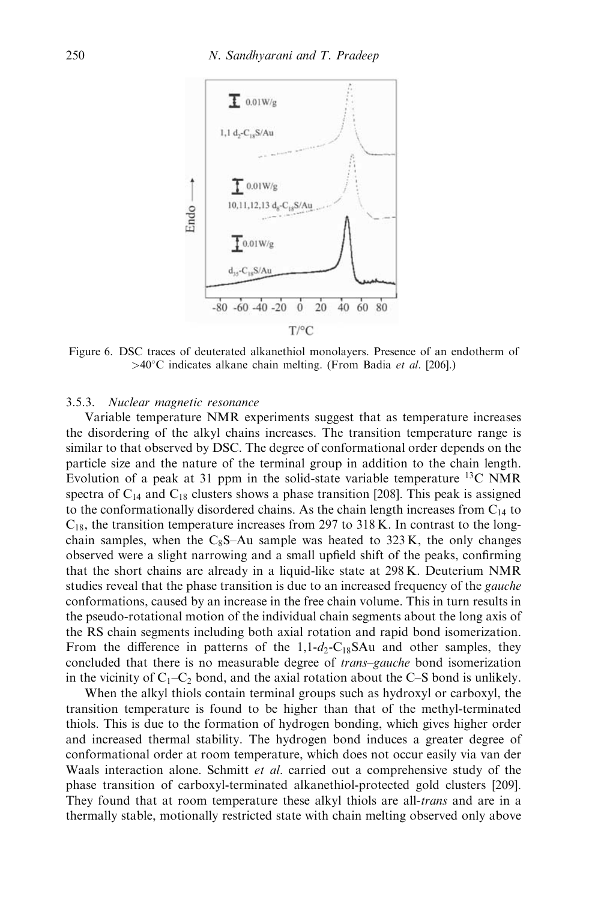

Figure 6. DSC traces of deuterated alkanethiol monolayers. Presence of an endotherm of  $>40^{\circ}$ C indicates alkane chain melting. (From Badia *et al.* [206].)

# 3.5.3. Nuclear magnetic resonance

Variable temperature NMR experiments suggest that as temperature increases the disordering of the alkyl chains increases. The transition temperature range is similar to that observed by DSC. The degree of conformational order depends on the particle size and the nature of the terminal group in addition to the chain length. Evolution of a peak at 31 ppm in the solid-state variable temperature  ${}^{13}C$  NMR spectra of  $C_{14}$  and  $C_{18}$  clusters shows a phase transition [208]. This peak is assigned to the conformationally disordered chains. As the chain length increases from  $C_{14}$  to  $C_{18}$ , the transition temperature increases from 297 to 318 K. In contrast to the longchain samples, when the C<sub>8</sub>S–Au sample was heated to 323 K, the only changes observed were a slight narrowing and a small upfield shift of the peaks, confirming that the short chains are already in a liquid-like state at 298 K. Deuterium NMR studies reveal that the phase transition is due to an increased frequency of the *gauche* conformations, caused by an increase in the free chain volume. This in turn results in the pseudo-rotational motion of the individual chain segments about the long axis of the RS chain segments including both axial rotation and rapid bond isomerization. From the difference in patterns of the  $1,1-d_2-C_{18}SAu$  and other samples, they concluded that there is no measurable degree of *trans–gauche* bond isomerization in the vicinity of  $C_1-C_2$  bond, and the axial rotation about the C–S bond is unlikely.

When the alkyl thiols contain terminal groups such as hydroxyl or carboxyl, the transition temperature is found to be higher than that of the methyl-terminated thiols. This is due to the formation of hydrogen bonding, which gives higher order and increased thermal stability. The hydrogen bond induces a greater degree of conformational order at room temperature, which does not occur easily via van der Waals interaction alone. Schmitt *et al.* carried out a comprehensive study of the phase transition of carboxyl-terminated alkanethiol-protected gold clusters [209]. They found that at room temperature these alkyl thiols are all-*trans* and are in a thermally stable, motionally restricted state with chain melting observed only above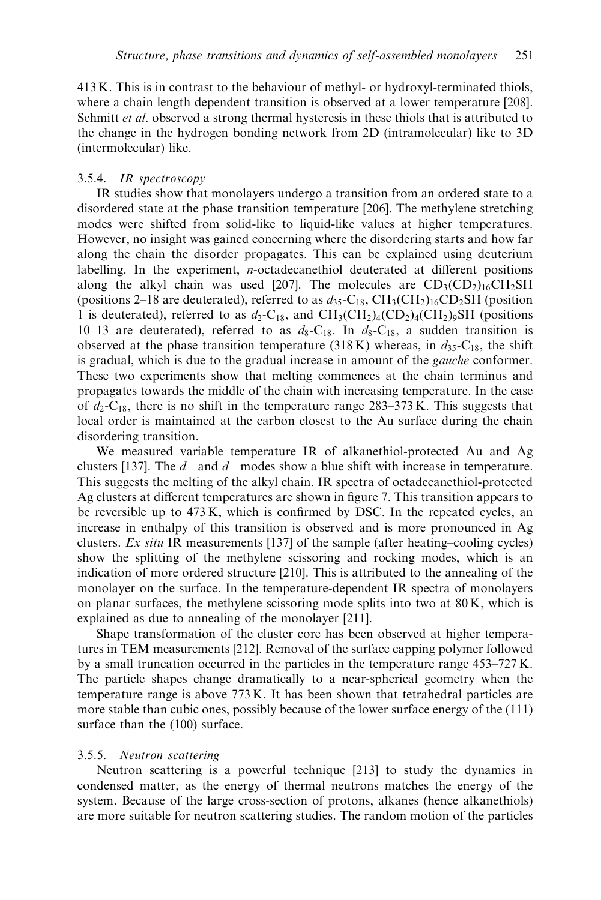413 K. This is in contrast to the behaviour of methyl- or hydroxyl-terminated thiols, where a chain length dependent transition is observed at a lower temperature [208]. Schmitt *et al.* observed a strong thermal hysteresis in these thiols that is attributed to the change in the hydrogen bonding network from 2D (intramolecular) like to 3D (intermolecular) like.

### 3.5.4. IR spectroscopy

IR studies show that monolayers undergo a transition from an ordered state to a disordered state at the phase transition temperature [206]. The methylene stretching modes were shifted from solid-like to liquid-like values at higher temperatures. However, no insight was gained concerning where the disordering starts and how far along the chain the disorder propagates. This can be explained using deuterium labelling. In the experiment, n-octadecanethiol deuterated at different positions along the alkyl chain was used [207]. The molecules are  $CD_3(CD_2)_{16}CH_2SH$ (positions 2–18 are deuterated), referred to as  $d_{35}$ -C<sub>18</sub>, CH<sub>3</sub>(CH<sub>2</sub>)<sub>16</sub>CD<sub>2</sub>SH (position 1 is deuterated), referred to as  $d_2$ -C<sub>18</sub>, and CH<sub>3</sub>(CH<sub>2</sub>)<sub>4</sub>(CD<sub>2</sub>)<sub>4</sub>(CH<sub>2</sub>)<sub>9</sub>SH (positions 10–13 are deuterated), referred to as  $d_8$ -C<sub>18</sub>. In  $d_8$ -C<sub>18</sub>, a sudden transition is observed at the phase transition temperature (318 K) whereas, in  $d_{35}$ -C<sub>18</sub>, the shift is gradual, which is due to the gradual increase in amount of the gauche conformer. These two experiments show that melting commences at the chain terminus and propagates towards the middle of the chain with increasing temperature. In the case of  $d_2$ -C<sub>18</sub>, there is no shift in the temperature range 283–373 K. This suggests that local order is maintained at the carbon closest to the Au surface during the chain disordering transition.

We measured variable temperature IR of alkanethiol-protected Au and Ag clusters [137]. The  $d^+$  and  $d^-$  modes show a blue shift with increase in temperature. This suggests the melting of the alkyl chain. IR spectra of octadecanethiol-protected Ag clusters at different temperatures are shown in figure 7. This transition appears to be reversible up to 473 K, which is confirmed by DSC. In the repeated cycles, an increase in enthalpy of this transition is observed and is more pronounced in Ag clusters. Ex situ IR measurements [137] of the sample (after heating–cooling cycles) show the splitting of the methylene scissoring and rocking modes, which is an indication of more ordered structure [210]. This is attributed to the annealing of the monolayer on the surface. In the temperature-dependent IR spectra of monolayers on planar surfaces, the methylene scissoring mode splits into two at  $80 \text{ K}$ , which is explained as due to annealing of the monolayer [211].

Shape transformation of the cluster core has been observed at higher temperatures in TEM measurements [212]. Removal of the surface capping polymer followed by a small truncation occurred in the particles in the temperature range 453–727 K. The particle shapes change dramatically to a near-spherical geometry when the temperature range is above 773 K. It has been shown that tetrahedral particles are more stable than cubic ones, possibly because of the lower surface energy of the (111) surface than the (100) surface.

### 3.5.5. Neutron scattering

Neutron scattering is a powerful technique [213] to study the dynamics in condensed matter, as the energy of thermal neutrons matches the energy of the system. Because of the large cross-section of protons, alkanes (hence alkanethiols) are more suitable for neutron scattering studies. The random motion of the particles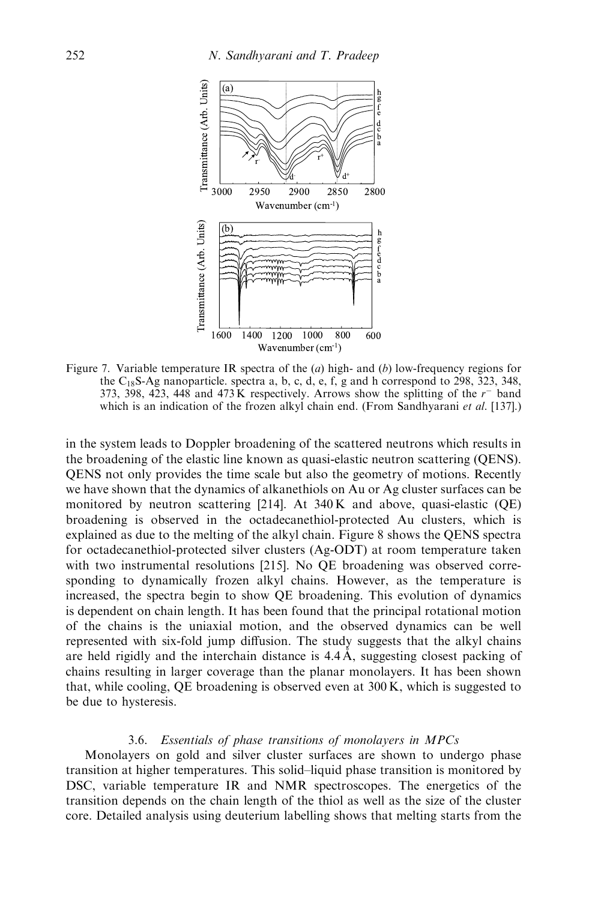

Figure 7. Variable temperature IR spectra of the  $(a)$  high- and  $(b)$  low-frequency regions for the  $C_{18}S-Ag$  nanoparticle. spectra a, b, c, d, e, f, g and h correspond to 298, 323, 348, 373, 398, 423, 448 and 473 K respectively. Arrows show the splitting of the  $r^-$  band which is an indication of the frozen alkyl chain end. (From Sandhyarani et al. [137].)

in the system leads to Doppler broadening of the scattered neutrons which results in the broadening of the elastic line known as quasi-elastic neutron scattering (QENS). QENS not only provides the time scale but also the geometry of motions. Recently we have shown that the dynamics of alkanethiols on Au or Ag cluster surfaces can be monitored by neutron scattering  $[214]$ . At 340 K and above, quasi-elastic (QE) broadening is observed in the octadecanethiol-protected Auclusters, which is explained as due to the melting of the alkyl chain. Figure 8 shows the QENS spectra for octadecanethiol-protected silver clusters (Ag-ODT) at room temperature taken with two instrumental resolutions [215]. No QE broadening was observed corresponding to dynamically frozen alkyl chains. However, as the temperature is increased, the spectra begin to show QE broadening. This evolution of dynamics is dependent on chain length. It has been found that the principal rotational motion of the chains is the uniaxial motion, and the observed dynamics can be well represented with six-fold jump diffusion. The study suggests that the alkyl chains are held rigidly and the interchain distance is  $4.4 \text{ Å}$ , suggesting closest packing of chains resulting in larger coverage than the planar monolayers. It has been shown that, while cooling,  $OE$  broadening is observed even at  $300 K$ , which is suggested to be due to hysteresis.

### 3.6. Essentials of phase transitions of monolayers in MPCs

Monolayers on gold and silver cluster surfaces are shown to undergo phase transition at higher temperatures. This solid–liquid phase transition is monitored by DSC, variable temperature IR and NMR spectroscopes. The energetics of the transition depends on the chain length of the thiol as well as the size of the cluster core. Detailed analysis using deuterium labelling shows that melting starts from the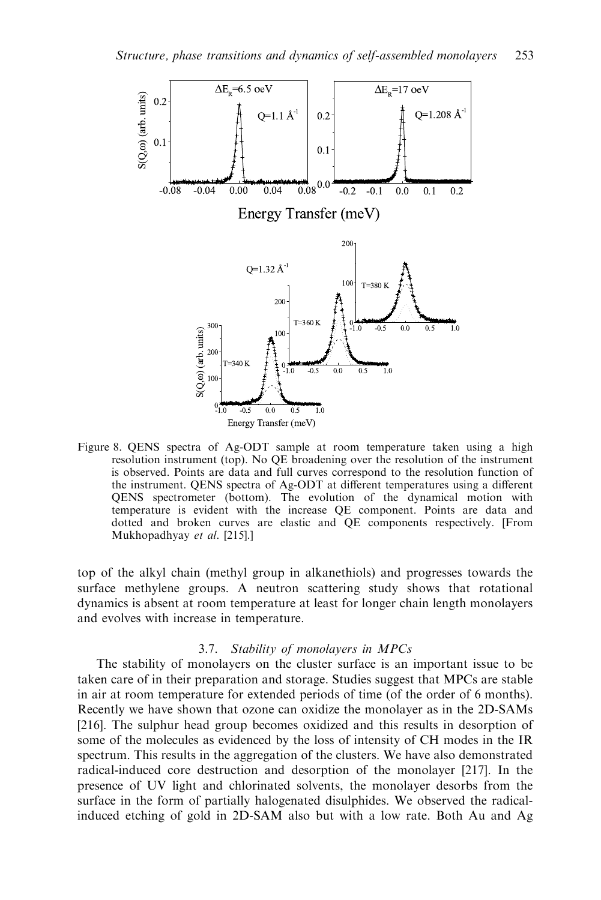

Figure 8. QENS spectra of Ag-ODT sample at room temperature taken using a high resolution instrument (top). No QE broadening over the resolution of the instrument is observed. Points are data and full curves correspond to the resolution function of the instrument. QENS spectra of Ag-ODT at different temperatures using a different QENS spectrometer (bottom). The evolution of the dynamical motion with temperature is evident with the increase QE component. Points are data and dotted and broken curves are elastic and QE components respectively. [From Mukhopadhyay et al. [215].]

top of the alkyl chain (methyl group in alkanethiols) and progresses towards the surface methylene groups. A neutron scattering study shows that rotational dynamics is absent at room temperature at least for longer chain length monolayers and evolves with increase in temperature.

### 3.7. Stability of monolayers in MPCs

The stability of monolayers on the cluster surface is an important issue to be taken care of in their preparation and storage. Studies suggest that MPCs are stable in air at room temperature for extended periods of time (of the order of 6 months). Recently we have shown that ozone can oxidize the monolayer as in the 2D-SAMs [216]. The sulphur head group becomes oxidized and this results in desorption of some of the molecules as evidenced by the loss of intensity of CH modes in the IR spectrum. This results in the aggregation of the clusters. We have also demonstrated radical-induced core destruction and desorption of the monolayer [217]. In the presence of UV light and chlorinated solvents, the monolayer desorbs from the surface in the form of partially halogenated disulphides. We observed the radicalinduced etching of gold in 2D-SAM also but with a low rate. Both Au and Ag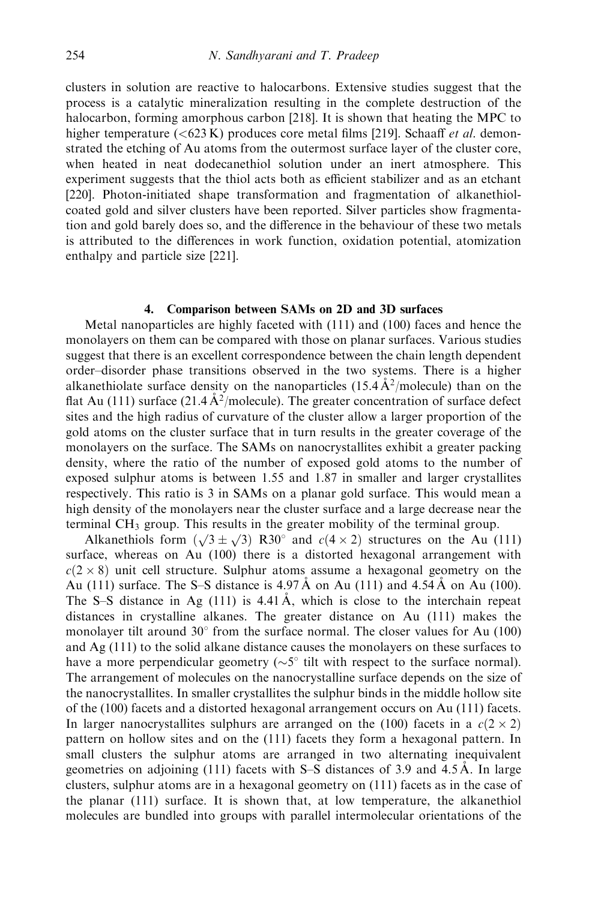clusters in solution are reactive to halocarbons. Extensive studies suggest that the process is a catalytic mineralization resulting in the complete destruction of the halocarbon, forming amorphous carbon [218]. It is shown that heating the MPC to higher temperature  $( $623 \text{ K}$ ) produces core metal films [219]. Schaaff *et al.* demon$ strated the etching of Au atoms from the outermost surface layer of the cluster core, when heated in neat dodecanethiol solution under an inert atmosphere. This experiment suggests that the thiol acts both as efficient stabilizer and as an etchant [220]. Photon-initiated shape transformation and fragmentation of alkanethiolcoated gold and silver clusters have been reported. Silver particles show fragmentation and gold barely does so, and the difference in the behaviour of these two metals is attributed to the differences in work function, oxidation potential, atomization enthalpy and particle size [221].

# 4. Comparison between SAMs on 2D and 3D surfaces

Metal nanoparticles are highly faceted with (111) and (100) faces and hence the monolayers on them can be compared with those on planar surfaces. Various studies suggest that there is an excellent correspondence between the chain length dependent order–disorder phase transitions observed in the two systems. There is a higher alkanethiolate surface density on the nanoparticles  $(15.4 \text{ Å}^2/\text{molecule})$  than on the flat Au (111) surface (21.4  $A<sup>2</sup>/molecule$ ). The greater concentration of surface defect sites and the high radius of curvature of the cluster allow a larger proportion of the gold atoms on the cluster surface that in turn results in the greater coverage of the monolayers on the surface. The SAMs on nanocrystallites exhibit a greater packing density, where the ratio of the number of exposed gold atoms to the number of exposed sulphur atoms is between 1.55 and 1.87 in smaller and larger crystallites respectively. This ratio is 3 in SAMs on a planar gold surface. This would mean a high density of the monolayers near the cluster surface and a large decrease near the terminal CH3 group. This results in the greater mobility of the terminal group.

Alkanethiols form  $(\sqrt{3} \pm \sqrt{3})$  R30° and  $c(4 \times 2)$  structures on the Au (111) surface, whereas on Au (100) there is a distorted hexagonal arrangement with  $c(2 \times 8)$  unit cell structure. Sulphur atoms assume a hexagonal geometry on the Au (111) surface. The S–S distance is  $4.97\text{\AA}$  on Au (111) and  $4.54\text{\AA}$  on Au (100). The S–S distance in Ag  $(111)$  is 4.41 Å, which is close to the interchain repeat distances in crystalline alkanes. The greater distance on Au(111) makes the monolayer tilt around  $30^{\circ}$  from the surface normal. The closer values for Au (100) and Ag (111) to the solid alkane distance causes the monolayers on these surfaces to have a more perpendicular geometry  $(\sim 5^{\circ}$  tilt with respect to the surface normal). The arrangement of molecules on the nanocrystalline surface depends on the size of the nanocrystallites. In smaller crystallites the sulphur binds in the middle hollow site of the (100) facets and a distorted hexagonal arrangement occurs on Au (111) facets. In larger nanocrystallites sulphurs are arranged on the (100) facets in a  $c(2 \times 2)$ pattern on hollow sites and on the (111) facets they form a hexagonal pattern. In small clusters the sulphur atoms are arranged in two alternating inequivalent geometries on adjoining  $(111)$  facets with S–S distances of 3.9 and 4.5 Å. In large clusters, sulphur atoms are in a hexagonal geometry on (111) facets as in the case of the planar (111) surface. It is shown that, at low temperature, the alkanethiol molecules are bundled into groups with parallel intermolecular orientations of the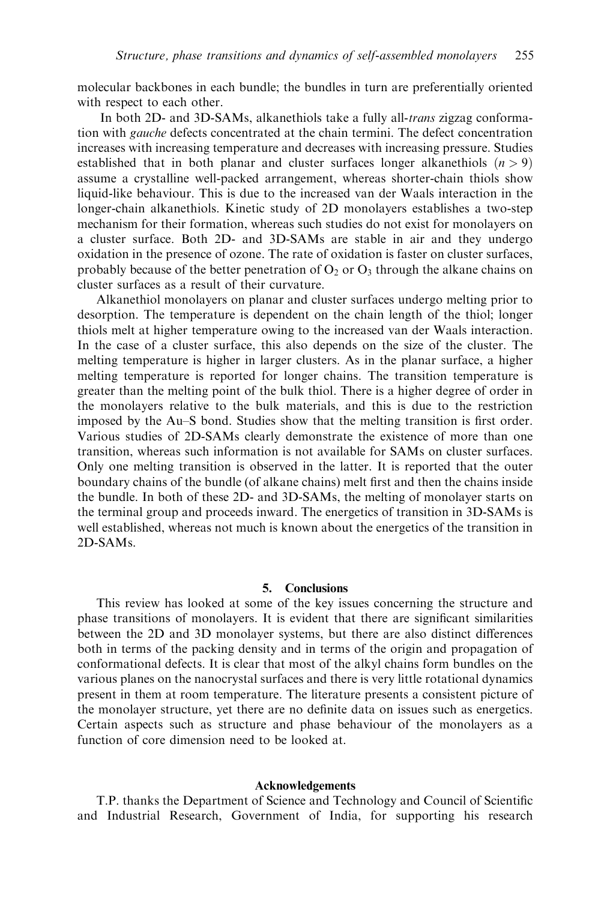molecular backbones in each bundle; the bundles in turn are preferentially oriented with respect to each other.

In both 2D- and 3D-SAMs, alkanethiols take a fully all-*trans* zigzag conformation with gauche defects concentrated at the chain termini. The defect concentration increases with increasing temperature and decreases with increasing pressure. Studies established that in both planar and cluster surfaces longer alkanethiols  $(n > 9)$ assume a crystalline well-packed arrangement, whereas shorter-chain thiols show liquid-like behaviour. This is due to the increased van der Waals interaction in the longer-chain alkanethiols. Kinetic study of 2D monolayers establishes a two-step mechanism for their formation, whereas such studies do not exist for monolayers on a cluster surface. Both 2D- and 3D-SAMs are stable in air and they undergo oxidation in the presence of ozone. The rate of oxidation is faster on cluster surfaces, probably because of the better penetration of  $O_2$  or  $O_3$  through the alkane chains on cluster surfaces as a result of their curvature.

Alkanethiol monolayers on planar and cluster surfaces undergo melting prior to desorption. The temperature is dependent on the chain length of the thiol; longer thiols melt at higher temperature owing to the increased van der Waals interaction. In the case of a cluster surface, this also depends on the size of the cluster. The melting temperature is higher in larger clusters. As in the planar surface, a higher melting temperature is reported for longer chains. The transition temperature is greater than the melting point of the bulk thiol. There is a higher degree of order in the monolayers relative to the bulk materials, and this is due to the restriction imposed by the Au–S bond. Studies show that the melting transition is first order. Various studies of 2D-SAMs clearly demonstrate the existence of more than one transition, whereas such information is not available for SAMs on cluster surfaces. Only one melting transition is observed in the latter. It is reported that the outer boundary chains of the bundle (of alkane chains) melt first and then the chains inside the bundle. In both of these 2D- and 3D-SAMs, the melting of monolayer starts on the terminal group and proceeds inward. The energetics of transition in 3D-SAMs is well established, whereas not much is known about the energetics of the transition in 2D-SAMs.

### 5. Conclusions

This review has looked at some of the key issues concerning the structure and phase transitions of monolayers. It is evident that there are significant similarities between the 2D and 3D monolayer systems, but there are also distinct differences both in terms of the packing density and in terms of the origin and propagation of conformational defects. It is clear that most of the alkyl chains form bundles on the various planes on the nanocrystal surfaces and there is very little rotational dynamics present in them at room temperature. The literature presents a consistent picture of the monolayer structure, yet there are no definite data on issues such as energetics. Certain aspects such as structure and phase behaviour of the monolayers as a function of core dimension need to be looked at.

### Acknowledgements

T.P. thanks the Department of Science and Technology and Council of Scientific and Industrial Research, Government of India, for supporting his research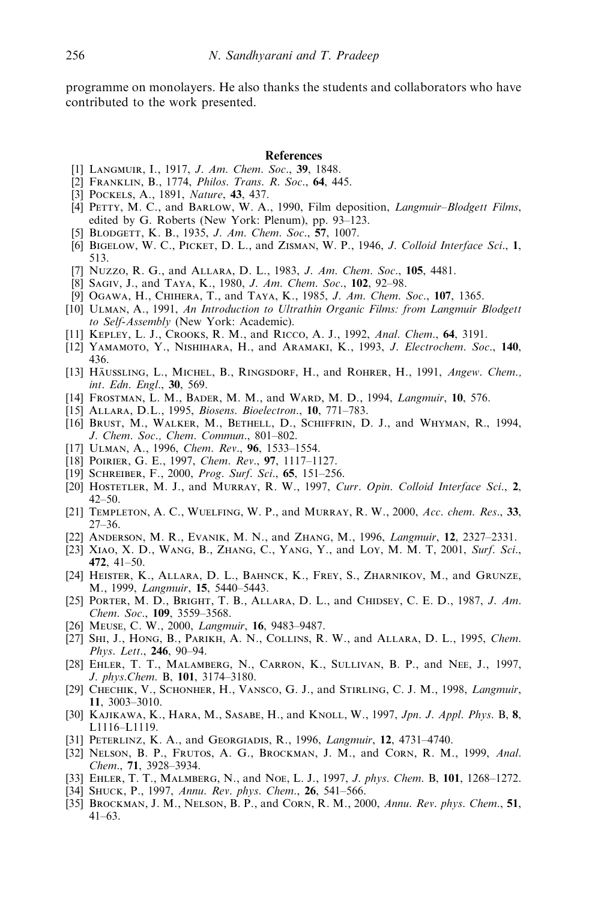programme on monolayers. He also thanks the students and collaborators who have contributed to the work presented.

### References

- [1] LANGMUIR, I., 1917, J. Am. Chem. Soc., 39, 1848.
- [2] Franklin, B., 1774, Philos. Trans. R. Soc., 64, 445.
- [3] POCKELS, A., 1891, *Nature*, **43**, 437.
- [4] PETTY, M. C., and BARLOW, W. A., 1990, Film deposition, *Langmuir–Blodgett Films*, edited by G. Roberts (New York: Plenum), pp. 93–123.
- [5] BLODGETT, K. B., 1935, J. Am. Chem. Soc., 57, 1007.
- [6] BIGELOW, W. C., PICKET, D. L., and ZISMAN, W. P., 1946, J. Colloid Interface Sci., 1, 513.
- [7] Nuzzo, R. G., and Allara, D. L., 1983, J. Am. Chem. Soc., 105, 4481.
- [8] SAGIV, J., and TAYA, K., 1980, *J. Am. Chem. Soc.*, **102**, 92–98.
- [9] Ogawa, H., Chihera, T., and Taya, K., 1985, J. Am. Chem. Soc., 107, 1365.
- [10] Ulman, A., 1991, An Introduction to Ultrathin Organic Films: from Langmuir Blodgett to Self-Assembly (New York: Academic).
- [11] KEPLEY, L. J., CROOKS, R. M., and RICCO, A. J., 1992, Anal. Chem., 64, 3191.
- [12] YAMAMOTO, Y., NISHIHARA, H., and ARAMAKI, K., 1993, J. Electrochem. Soc., 140, 436.
- [13] HÄUSSLING, L., MICHEL, B., RINGSDORF, H., and ROHRER, H., 1991, Angew. Chem., int. Edn. Engl., 30, 569.
- [14] FROSTMAN, L. M., BADER, M. M., and WARD, M. D., 1994, *Langmuir*, 10, 576.
- [15] ALLARA, D.L., 1995, *Biosens. Bioelectron.*, 10, 771–783.
- [16] Brust, M., Walker, M., Bethell, D., Schiffrin, D. J., and Whyman, R., 1994, J. Chem. Soc., Chem. Commun., 801–802.
- [17] ULMAN, A., 1996, Chem. Rev., 96, 1533-1554.
- [18] POIRIER, G. E., 1997, Chem. Rev., 97, 1117-1127.
- [19] Schreiber, F., 2000, Prog. Surf. Sci., 65, 151–256.
- [20] HOSTETLER, M. J., and MURRAY, R. W., 1997, Curr. Opin. Colloid Interface Sci., 2,  $42 - 50$ .
- [21] TEMPLETON, A. C., WUELFING, W. P., and MURRAY, R. W., 2000, Acc. chem. Res., 33, 27–36.
- [22] ANDERSON, M. R., EVANIK, M. N., and ZHANG, M., 1996, Langmuir, 12, 2327–2331.
- [23] XIAO, X. D., WANG, B., ZHANG, C., YANG, Y., and Loy, M. M. T, 2001, Surf. Sci., 472, 41–50.
- [24] Heister, K., Allara, D. L., Bahnck, K., Frey, S., Zharnikov, M., and Grunze, M., 1999, Langmuir, 15, 5440–5443.
- [25] PORTER, M. D., BRIGHT, T. B., ALLARA, D. L., and CHIDSEY, C. E. D., 1987, J. Am. Chem. Soc., 109, 3559–3568.
- [26] MEUSE, C. W., 2000, *Langmuir*, **16**, 9483–9487.
- [27] Shi, J., Hong, B., Parikh, A. N., Collins, R. W., and Allara, D. L., 1995, Chem. Phys. Lett., 246, 90-94.
- [28] Ehler, T. T., Malamberg, N., Carron, K., Sullivan, B. P., and Nee, J., 1997, J. phys.Chem. B, 101, 3174–3180.
- [29] CHECHIK, V., SCHONHER, H., VANSCO, G. J., and STIRLING, C. J. M., 1998, *Langmuir*, 11, 3003–3010.
- [30] KAJIKAWA, K., HARA, M., SASABE, H., and KNOLL, W., 1997, Jpn. J. Appl. Phys. B, 8, L1116–L1119.
- [31] PETERLINZ, K. A., and GEORGIADIS, R., 1996, *Langmuir*, 12, 4731–4740.
- [32] NELSON, B. P., FRUTOS, A. G., BROCKMAN, J. M., and CORN, R. M., 1999, Anal. Chem., 71, 3928–3934.
- [33] EHLER, T. T., MALMBERG, N., and NOE, L. J., 1997, *J. phys. Chem.* B, 101, 1268–1272.
- [34] SHUCK, P., 1997, Annu. Rev. phys. Chem., 26, 541-566.
- [35] BROCKMAN, J. M., NELSON, B. P., and CORN, R. M., 2000, Annu. Rev. phys. Chem., 51, 41–63.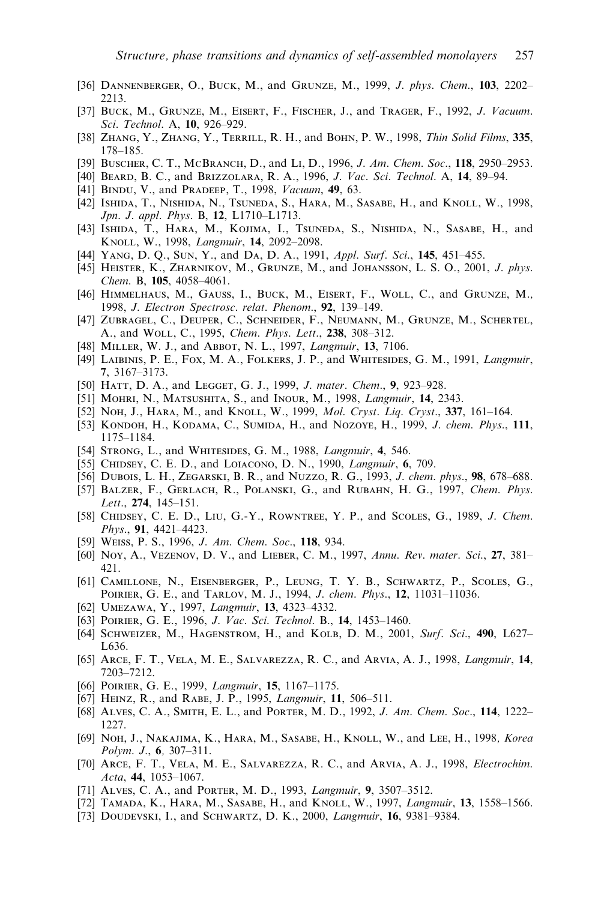- [36] DANNENBERGER, O., BUCK, M., and GRUNZE, M., 1999, J. phys. Chem., 103, 2202-2213.
- [37] BUCK, M., GRUNZE, M., EISERT, F., FISCHER, J., and TRAGER, F., 1992, J. Vacuum. Sci. Technol. A, 10, 926–929.
- [38] ZHANG, Y., ZHANG, Y., TERRILL, R. H., and BOHN, P. W., 1998, Thin Solid Films, 335, 178–185.
- [39] BUSCHER, C. T., MCBRANCH, D., and LI, D., 1996, J. Am. Chem. Soc., 118, 2950–2953.
- [40] Beard, B. C., and Brizzolara, R. A., 1996, J. Vac. Sci. Technol. A, 14, 89–94.
- [41] BINDU, V., and PRADEEP, T., 1998, Vacuum, 49, 63.
- [42] Ishida, T., Nishida, N., Tsuneda, S., Hara, M., Sasabe, H., and Knoll, W., 1998, Jpn. J. appl. Phys. B, 12, L1710–L1713.
- [43] Ishida, T., Hara, M., Kojima, I., Tsuneda, S., Nishida, N., Sasabe, H., and KNOLL, W., 1998, Langmuir, 14, 2092-2098.
- [44] YANG, D. Q., SUN, Y., and DA, D. A., 1991, Appl. Surf. Sci., 145, 451-455.
- [45] HEISTER, K., ZHARNIKOV, M., GRUNZE, M., and JOHANSSON, L. S. O., 2001, J. phys. Chem. B, 105, 4058–4061.
- [46] Himmelhaus, M., Gauss, I., Buck, M., Eisert, F., Woll, C., and Grunze, M., 1998, J. Electron Spectrosc. relat. Phenom., 92, 139-149.
- [47] Zubragel, C., Deuper, C., Schneider, F., Neumann, M., Grunze, M., Schertel, A., and Woll, C., 1995, Chem. Phys. Lett., 238, 308–312.
- [48] MILLER, W. J., and ABBOT, N. L., 1997, Langmuir, 13, 7106.
- [49] Laibinis, P. E., Fox, M. A., Folkers, J. P., and Whitesides, G. M., 1991, Langmuir, 7, 3167–3173.
- [50] HATT, D. A., and LEGGET, G. J., 1999, J. mater. Chem., 9, 923-928.
- [51] MOHRI, N., MATSUSHITA, S., and INOUR, M., 1998, *Langmuir*, **14**, 2343.
- [52] Noh, J., Hara, M., and Knoll, W., 1999, *Mol. Cryst. Liq. Cryst.*, 337, 161-164.
- [53] KONDOH, H., KODAMA, C., SUMIDA, H., and NOZOYE, H., 1999, J. chem. Phys., 111, 1175–1184.
- [54] STRONG, L., and WHITESIDES, G. M., 1988, Langmuir, 4, 546.
- [55] CHIDSEY, C. E. D., and LOIACONO, D. N., 1990, Langmuir, 6, 709.
- [56] Dubois, L. H., Zegarski, B. R., and Nuzzo, R. G., 1993, J. chem. phys., 98, 678–688.
- [57] BALZER, F., GERLACH, R., POLANSKI, G., and RUBAHN, H. G., 1997, Chem. Phys. Lett., 274, 145–151.
- [58] CHIDSEY, C. E. D., LIU, G.-Y., ROWNTREE, Y. P., and SCOLES, G., 1989, J. Chem. Phys., 91, 4421–4423.
- [59] WEISS, P. S., 1996, *J. Am. Chem. Soc.*, 118, 934.
- [60] Noy, A., Vezenov, D. V., and Lieber, C. M., 1997, Annu. Rev. mater. Sci., 27, 381– 421.
- [61] Camillone, N., Eisenberger, P., Leung, T. Y. B., Schwartz, P., Scoles, G., Poirier, G. E., and Tarlov, M. J., 1994, J. chem. Phys., 12, 11031–11036.
- [62] UMEZAWA, Y., 1997, Langmuir, 13, 4323-4332.
- [63] POIRIER, G. E., 1996, J. Vac. Sci. Technol. B., 14, 1453–1460.
- [64] SCHWEIZER, M., HAGENSTROM, H., and KOLB, D. M., 2001, Surf. Sci., 490, L627-L636.
- [65] ARCE, F. T., VELA, M. E., SALVAREZZA, R. C., and ARVIA, A. J., 1998, *Langmuir*, 14, 7203–7212.
- [66] POIRIER, G. E., 1999, *Langmuir*, **15**, 1167–1175.
- [67] HEINZ, R., and RABE, J. P., 1995, Langmuir, 11, 506-511.
- [68] ALVES, C. A., SMITH, E. L., and PORTER, M. D., 1992, J. Am. Chem. Soc., 114, 1222-1227.
- [69] NOH, J., NAKAJIMA, K., HARA, M., SASABE, H., KNOLL, W., and LEE, H., 1998, Korea Polym. J., 6, 307–311.
- [70] ARCE, F. T., VELA, M. E., SALVAREZZA, R. C., and ARVIA, A. J., 1998, *Electrochim.* Acta, 44, 1053–1067.
- [71] ALVES, C. A., and PORTER, M. D., 1993, *Langmuir*, 9, 3507-3512.
- [72] TAMADA, K., HARA, M., SASABE, H., and KNOLL, W., 1997, *Langmuir*, **13**, 1558–1566.
- [73] DOUDEVSKI, I., and SCHWARTZ, D. K., 2000, Langmuir, 16, 9381-9384.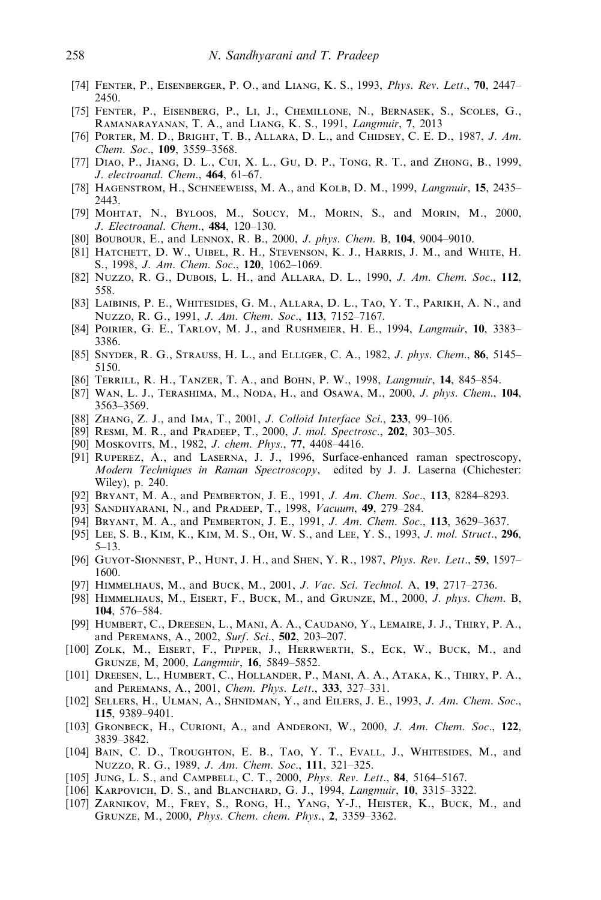- [74] FENTER, P., EISENBERGER, P. O., and LIANG, K. S., 1993, Phys. Rev. Lett., 70, 2447– 2450.
- [75] Fenter, P., Eisenberg, P., Li, J., Chemillone, N., Bernasek, S., Scoles, G., Ramanarayanan, T. A., and Liang, K. S., 1991, Langmuir, 7, 2013
- [76] PORTER, M. D., BRIGHT, T. B., ALLARA, D. L., and CHIDSEY, C. E. D., 1987, J. Am. Chem. Soc., 109, 3559–3568.
- [77] Diao, P., Jiang, D. L., Cui, X. L., Gu, D. P., Tong, R. T., and Zhong, B., 1999, J. electroanal. Chem., 464, 61–67.
- [78] HAGENSTROM, H., SCHNEEWEISS, M. A., and KOLB, D. M., 1999, *Langmuir*, **15**, 2435– 2443.
- [79] Mohtat, N., Byloos, M., Soucy, M., Morin, S., and Morin, M., 2000, J. Electroanal. Chem., 484, 120–130.
- [80] Boubour, E., and Lennox, R. B., 2000, J. phys. Chem. B, 104, 9004–9010.
- [81] Hatchett, D. W., Uibel, R. H., Stevenson, K. J., Harris, J. M., and White, H. S., 1998, J. Am. Chem. Soc., 120, 1062–1069.
- [82] Nuzzo, R. G., Dubois, L. H., and Allara, D. L., 1990, J. Am. Chem. Soc., 112, 558.
- [83] Laibinis, P. E., Whitesides, G. M ., Allara, D. L., Tao, Y. T., Parikh, A. N., and Nuzzo, R. G., 1991, J. Am. Chem. Soc., 113, 7152–7167.
- [84] POIRIER, G. E., TARLOV, M. J., and RUSHMEIER, H. E., 1994, *Langmuir*, 10, 3383– 3386.
- [85] SNYDER, R. G., STRAUSS, H. L., and ELLIGER, C. A., 1982, J. phys. Chem., 86, 5145– 5150.
- [86] Terrill, R. H., Tanzer, T. A., and Bohn, P. W., 1998, Langmuir, 14, 845–854.
- [87] WAN, L. J., TERASHIMA, M., NODA, H., and OSAWA, M., 2000, J. phys. Chem., 104, 3563–3569.
- [88] ZHANG, Z. J., and IMA, T., 2001, J. Colloid Interface Sci., 233, 99-106.
- [89] RESMI, M. R., and PRADEEP, T., 2000, J. mol. Spectrosc., 202, 303-305.
- [90] Moskovits, M., 1982, J. chem. Phys., 77, 4408-4416.
- [91] Ruperez, A., and Laserna, J. J., 1996, Surface-enhanced raman spectroscopy, Modern Techniques in Raman Spectroscopy, edited by J. J. Laserna (Chichester: Wiley), p. 240.
- [92] BRYANT, M. A., and PEMBERTON, J. E., 1991, J. Am. Chem. Soc., 113, 8284–8293.
- [93] SANDHYARANI, N., and PRADEEP, T., 1998, Vacuum, 49, 279-284.
- [94] BRYANT, M. A., and PEMBERTON, J. E., 1991, J. Am. Chem. Soc., 113, 3629-3637.
- [95] LEE, S. B., KIM, K., KIM, M. S., OH, W. S., and LEE, Y. S., 1993, J. mol. Struct., 296, 5–13.
- [96] GUYOT-SIONNEST, P., HUNT, J. H., and SHEN, Y. R., 1987, *Phys. Rev. Lett.*, **59**, 1597– 1600.
- [97] HIMMELHAUS, M., and BUCK, M., 2001, J. Vac. Sci. Technol. A, 19, 2717–2736.
- [98] HIMMELHAUS, M., EISERT, F., BUCK, M., and GRUNZE, M., 2000, J. phys. Chem. B, 104, 576–584.
- [99] Humbert, C., Dreesen, L., Mani, A. A., Caudano, Y., Lemaire, J. J., Thiry, P. A., and Peremans, A., 2002, Surf. Sci., 502, 203–207.
- [100] ZOLK, M., EISERT, F., PIPPER, J., HERRWERTH, S., ECK, W., BUCK, M., and Grunze, M, 2000, Langmuir, 16, 5849–5852.
- [101] Dreesen, L., Humbert, C., Hollander, P., Mani, A. A., Ataka, K., Thiry, P. A., and Peremans, A., 2001, Chem. Phys. Lett., 333, 327–331.
- [102] SELLERS, H., ULMAN, A., SHNIDMAN, Y., and EILERS, J. E., 1993, *J. Am. Chem. Soc.*, 115, 9389–9401.
- [103] GRONBECK, H., CURIONI, A., and ANDERONI, W., 2000, J. Am. Chem. Soc., 122, 3839–3842.
- [104] Bain, C. D., Troughton, E. B., Tao, Y. T., Evall, J., Whitesides, M., and Nuzzo, R. G., 1989, J. Am. Chem. Soc., 111, 321–325.
- [105] JUNG, L. S., and CAMPBELL, C. T., 2000, Phys. Rev. Lett., 84, 5164-5167.
- [106] KARPOVICH, D. S., and BLANCHARD, G. J., 1994, *Langmuir*, **10**, 3315–3322.
- [107] ZARNIKOV, M., FREY, S., RONG, H., YANG, Y-J., HEISTER, K., BUCK, M., and Grunze, M., 2000, Phys. Chem. chem. Phys., 2, 3359–3362.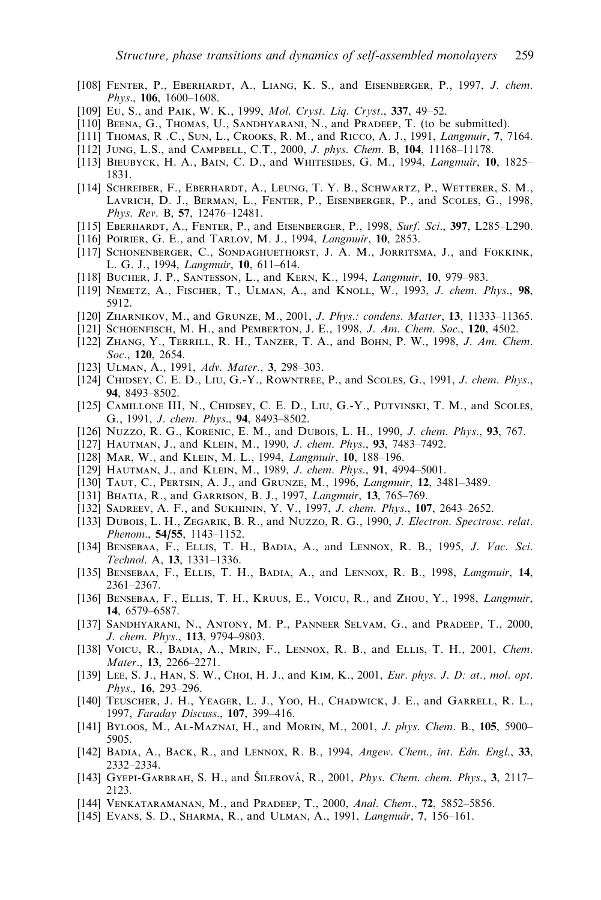- [108] FENTER, P., EBERHARDT, A., LIANG, K. S., and EISENBERGER, P., 1997, J. chem. Phys., 106, 1600–1608.
- [109] Eu, S., and PAIK, W. K., 1999, Mol. Cryst. Liq. Cryst., 337, 49-52.
- [110] BEENA, G., THOMAS, U., SANDHYARANI, N., and PRADEEP, T. (to be submitted).
- [111] THOMAS, R.C., SUN, L., CROOKS, R. M., and RICCO, A. J., 1991, *Langmuir*, 7, 7164.
- [112] JUNG, L.S., and CAMPBELL, C.T., 2000, J. phys. Chem. B, 104, 11168–11178.
- [113] BIEUBYCK, H. A., BAIN, C. D., and WHITESIDES, G. M., 1994, Langmuir, 10, 1825-1831.
- [114] Schreiber, F., Eberhardt, A., Leung, T. Y. B., Schwartz, P., Wetterer, S. M., Lavrich, D. J., Berman, L., Fenter, P., Eisenberger, P., and Scoles, G., 1998, Phys. Rev. B, 57, 12476–12481.
- [115] EBERHARDT, A., FENTER, P., and EISENBERGER, P., 1998, Surf. Sci., 397, L285–L290.
- [116] POIRIER, G. E., and TARLOV, M. J., 1994, *Langmuir*, 10, 2853.
- [117] Schonenberger, C., Sondaghuethorst, J. A. M., Jorritsma, J., and Fokkink, L. G. J., 1994, Langmuir, 10, 611–614.
- [118] Bucher, J. P., Santesson, L., and Kern, K., 1994, Langmuir, 10, 979–983.
- [119] NEMETZ, A., FISCHER, T., ULMAN, A., and KNOLL, W., 1993, J. chem. Phys., 98, 5912.
- [120] Zharnikov, M., and Grunze, M., 2001, J. Phys.: condens. Matter, 13, 11333–11365.
- [121] SCHOENFISCH, M. H., and PEMBERTON, J. E., 1998, J. Am. Chem. Soc., 120, 4502.
- [122] ZHANG, Y., TERRILL, R. H., TANZER, T. A., and BOHN, P. W., 1998, J. Am. Chem. Soc., 120, 2654.
- [123] ULMAN, A., 1991, Adv. Mater., 3, 298-303.
- [124] CHIDSEY, C. E. D., LIU, G.-Y., ROWNTREE, P., and SCOLES, G., 1991, J. chem. Phys., 94, 8493–8502.
- [125] CAMILLONE III, N., CHIDSEY, C. E. D., LIU, G.-Y., PUTVINSKI, T. M., and SCOLES, G., 1991, J. chem. Phys., 94, 8493–8502.
- [126] Nuzzo, R. G., KORENIC, E. M., and DUBOIS, L. H., 1990, *J. chem. Phys.*, **93**, 767.
- [127] HAUTMAN, J., and KLEIN, M., 1990, J. chem. Phys., 93, 7483-7492.
- [128] MAR, W., and KLEIN, M. L., 1994, *Langmuir*, 10, 188-196.
- [129] HAUTMAN, J., and KLEIN, M., 1989, *J. chem. Phys.*, **91**, 4994–5001.
- [130] TAUT, C., PERTSIN, A. J., and GRUNZE, M., 1996, Langmuir, 12, 3481-3489.
- [131] BHATIA, R., and GARRISON, B. J., 1997, Langmuir, 13, 765-769.
- [132] SADREEV, A. F., and SUKHININ, Y. V., 1997, J. chem. Phys., 107, 2643-2652.
- [133] DUBOIS, L. H., ZEGARIK, B. R., and NUZZO, R. G., 1990, J. Electron. Spectrosc. relat. Phenom., 54/55, 1143–1152.
- [134] BENSEBAA, F., ELLIS, T. H., BADIA, A., and LENNOX, R. B., 1995, J. Vac. Sci. Technol. A, 13, 1331–1336.
- [135] BENSEBAA, F., ELLIS, T. H., BADIA, A., and LENNOX, R. B., 1998, *Langmuir*, 14, 2361–2367.
- [136] Bensebaa, F., Ellis, T. H., Kruus, E., Voicu, R., and Zhou, Y., 1998, Langmuir, 14, 6579–6587.
- [137] Sandhyarani, N., Antony, M. P., Panneer Selvam, G., and Pradeep, T., 2000, J. chem. Phys., 113, 9794–9803.
- [138] VOICU, R., BADIA, A., MRIN, F., LENNOX, R. B., and ELLIS, T. H., 2001, Chem. Mater., 13, 2266–2271.
- [139] Lee, S. J., HAN, S. W., CHOI, H. J., and KIM, K., 2001, *Eur. phys. J. D: at., mol. opt.* Phys., 16, 293–296.
- [140] Teuscher, J. H., Yeager, L. J., Yoo, H., Chadwick, J. E., and Garrell, R. L., 1997, Faraday Discuss., 107, 399–416.
- [141] BYLOOS, M., AL-MAZNAI, H., and MORIN, M., 2001, J. phys. Chem. B., 105, 5900– 5905.
- [142] BADIA, A., BACK, R., and LENNOX, R. B., 1994, Angew. Chem., int. Edn. Engl., 33, 2332–2334.
- [143] GYEPI-GARBRAH, S. H., and SILEROVÁ, R., 2001, Phys. Chem. chem. Phys., 3, 2117– 2123.
- [144] VENKATARAMANAN, M., and PRADEEP, T., 2000, Anal. Chem., 72, 5852-5856.
- [145] EVANS, S. D., SHARMA, R., and ULMAN, A., 1991, *Langmuir*, 7, 156-161.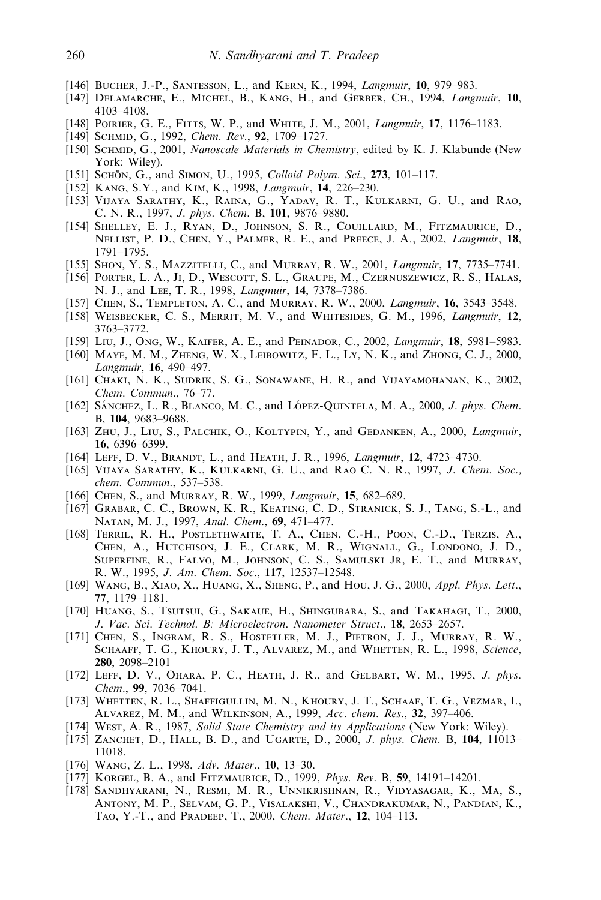- [146] BUCHER, J.-P., SANTESSON, L., and KERN, K., 1994, *Langmuir*, 10, 979–983.
- [147] DELAMARCHE, E., MICHEL, B., KANG, H., and GERBER, CH., 1994, *Langmuir*, 10, 4103–4108.
- [148] POIRIER, G. E., FITTS, W. P., and WHITE, J. M., 2001, *Langmuir*, 17, 1176–1183.
- [149] SCHMID, G., 1992, Chem. Rev., 92, 1709-1727.
- [150] SCHMID, G., 2001, Nanoscale Materials in Chemistry, edited by K. J. Klabunde (New York: Wiley).
- [151] SCHÖN, G., and SIMON, U., 1995, Colloid Polym. Sci., 273, 101-117.
- [152] KANG, S.Y., and KIM, K., 1998, *Langmuir*, **14**, 226–230.
- [153] Vijaya Sarathy, K., Raina, G., Yadav, R. T., Kulkarni, G. U., and Rao, C. N. R., 1997, J. phys. Chem. B, 101, 9876–9880.
- [154] Shelley, E. J., Ryan, D., Johnson, S. R., Couillard, M., Fitzmaurice, D., Nellist, P. D., Chen, Y., Palmer, R. E., and Preece, J. A., 2002, Langmuir, 18, 1791–1795.
- [155] SHON, Y. S., MAZZITELLI, C., and MURRAY, R. W., 2001, *Langmuir*, 17, 7735–7741.
- [156] Porter, L. A., Ji, D., Wescott, S. L., Graupe, M., Czernuszewicz, R. S., Halas, N. J., and Lee, T. R., 1998, Langmuir, 14, 7378–7386.
- [157] CHEN, S., TEMPLETON, A. C., and MURRAY, R. W., 2000, *Langmuir*, **16**, 3543–3548.
- [158] WEISBECKER, C. S., MERRIT, M. V., and WHITESIDES, G. M., 1996, *Langmuir*, 12, 3763–3772.
- [159] LIU, J., ONG, W., KAIFER, A. E., and PEINADOR, C., 2002, *Langmuir*, **18**, 5981–5983.
- [160] MAYE, M. M., ZHENG, W. X., LEIBOWITZ, F. L., LY, N. K., and ZHONG, C. J., 2000, Langmuir, 16, 490–497.
- [161] CHAKI, N. K., SUDRIK, S. G., SONAWANE, H. R., and VIJAYAMOHANAN, K., 2002, Chem. Commun., 76–77.
- [162] SÁNCHEZ, L. R., BLANCO, M. C., and LÓPEZ-QUINTELA, M. A.,  $2000$ , J. phys. Chem. B, 104, 9683–9688.
- [163] ZHU, J., LIU, S., PALCHIK, O., KOLTYPIN, Y., and GEDANKEN, A., 2000, Langmuir, 16, 6396–6399.
- [164] LEFF, D. V., BRANDT, L., and HEATH, J. R., 1996, *Langmuir*, 12, 4723-4730.
- [165] Vijaya Sarathy, K., Kulkarni, G. U., and Rao C. N. R., 1997, J. Chem. Soc., chem. Commun., 537–538.
- [166] CHEN, S., and MURRAY, R. W., 1999, Langmuir, 15, 682-689.
- [167] Grabar, C. C., Brown, K. R., Keating, C. D., Stranick, S. J., Tang, S.-L., and Natan, M. J., 1997, Anal. Chem., 69, 471–477.
- [168] Terril, R. H., Postlethwaite, T. A., Chen, C.-H., Poon, C.-D., Terzis, A., Chen, A., Hutchison, J. E., Clark, M. R., Wignall, G., Londono, J. D., Superfine, R., Falvo, M., Johnson, C. S., Samulski Jr, E. T., and Murray, R. W., 1995, J. Am. Chem. Soc., 117, 12537–12548.
- [169] WANG, B., XIAO, X., HUANG, X., SHENG, P., and HOU, J. G., 2000, Appl. Phys. Lett., 77, 1179–1181.
- [170] Huang, S., Tsutsui, G., Sakaue, H., Shingubara, S., and Takahagi, T., 2000, J. Vac. Sci. Technol. B: Microelectron. Nanometer Struct., 18, 2653–2657.
- [171] CHEN, S., INGRAM, R. S., HOSTETLER, M. J., PIETRON, J. J., MURRAY, R. W., SCHAAFF, T. G., KHOURY, J. T., ALVAREZ, M., and WHETTEN, R. L., 1998, Science, 280, 2098–2101
- [172] LEFF, D. V., OHARA, P. C., HEATH, J. R., and GELBART, W. M., 1995, J. phys. Chem., 99, 7036–7041.
- [173] WHETTEN, R. L., SHAFFIGULLIN, M. N., KHOURY, J. T., SCHAAF, T. G., VEZMAR, I., Alvarez, M. M., and Wilkinson, A., 1999, Acc. chem. Res., 32, 397–406.
- [174] West, A. R., 1987, Solid State Chemistry and its Applications (New York: Wiley).
- [175] ZANCHET, D., HALL, B. D., and UGARTE, D., 2000, J. phys. Chem. B, 104, 11013– 11018.
- [176] Wang, Z. L., 1998, Adv. Mater., 10, 13–30.
- [177] Korgel, B. A., and Fitzmaurice, D., 1999, Phys. Rev. B, 59, 14191–14201.
- [178] Sandhyarani, N., Resmi, M. R., Unnikrishnan, R., Vidyasagar, K., Ma, S., Antony, M. P., Selvam, G. P., Visalakshi, V., Chandrakumar, N., Pandian, K., Tao, Y.-T., and Pradeep, T., 2000, Chem. Mater., 12, 104–113.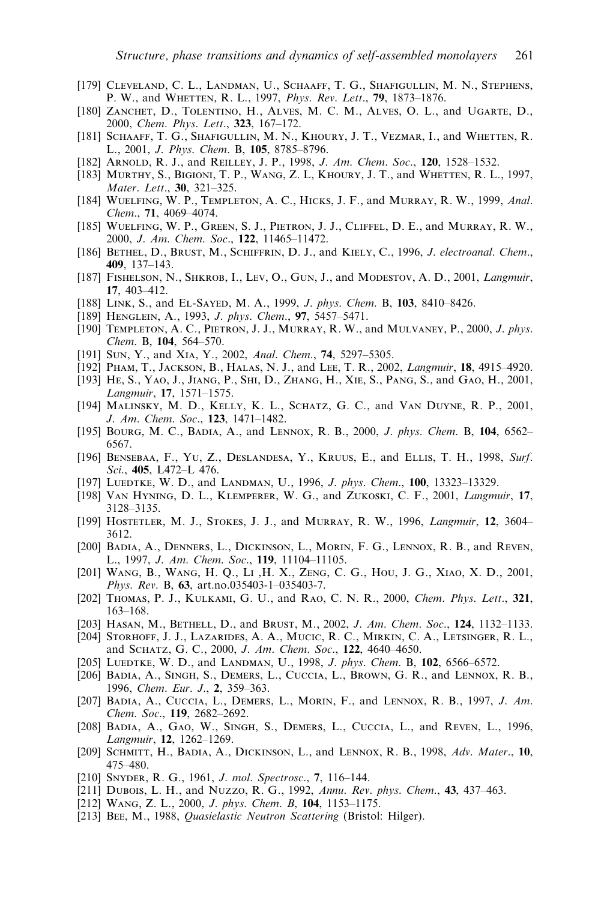- [179] Cleveland, C. L., Landman, U., Schaaff, T. G., Shafigullin, M. N., Stephens, P. W., and Whetten, R. L., 1997, Phys. Rev. Lett., 79, 1873–1876.
- [180] ZANCHET, D., TOLENTINO, H., ALVES, M. C. M., ALVES, O. L., and UGARTE, D., 2000, Chem. Phys. Lett., 323, 167–172.
- [181] Schaaff, T. G., Shafigullin, M. N., Khoury, J. T., Vezmar, I., and Whetten, R. L., 2001, J. Phys. Chem. B, 105, 8785–8796.
- [182] ARNOLD, R. J., and REILLEY, J. P., 1998, *J. Am. Chem. Soc.*, **120**, 1528–1532.
- [183] MURTHY, S., BIGIONI, T. P., WANG, Z. L, KHOURY, J. T., and WHETTEN, R. L., 1997, Mater. Lett., 30, 321–325.
- [184] Wuelfing, W. P., Templeton, A. C., Hicks, J. F., and Murray, R. W., 1999, Anal. Chem., 71, 4069–4074.
- [185] Wuelfing, W. P., Green, S. J., Pietron, J. J., Cliffel, D. E., and Murray, R. W., 2000, J. Am. Chem. Soc., 122, 11465–11472.
- [186] BETHEL, D., BRUST, M., SCHIFFRIN, D. J., and KIELY, C., 1996, J. electroanal. Chem., 409, 137–143.
- [187] FISHELSON, N., SHKROB, I., LEV, O., GUN, J., and MODESTOV, A. D., 2001, *Langmuir*, 17, 403–412.
- [188] LINK, S., and EL-SAYED, M. A., 1999, J. phys. Chem. B, 103, 8410-8426.
- [189] HENGLEIN, A., 1993, J. phys. Chem., 97, 5457-5471.
- [190] TEMPLETON, A. C., PIETRON, J. J., MURRAY, R. W., and MULVANEY, P., 2000, J. phys. Chem. B, 104, 564–570.
- [191] SUN, Y., and XIA, Y., 2002, Anal. Chem., 74, 5297-5305.
- [192] Pham, T., Jackson, B., Halas, N. J., and Lee, T. R., 2002, Langmuir, 18, 4915–4920.
- [193] He, S., Yao, J., Jiang, P., Shi, D., Zhang, H., Xie, S., Pang, S., and Gao, H., 2001, Langmuir, 17, 1571–1575.
- [194] MALINSKY, M. D., KELLY, K. L., SCHATZ, G. C., and VAN DUYNE, R. P., 2001, J. Am. Chem. Soc., 123, 1471–1482.
- [195] BOURG, M. C., BADIA, A., and LENNOX, R. B., 2000, *J. phys. Chem.* B, 104, 6562– 6567.
- [196] Bensebaa, F., Yu, Z., Deslandesa, Y., Kruus, E., and Ellis, T. H., 1998, Surf. Sci., 405, L472–L 476.
- [197] LUEDTKE, W. D., and LANDMAN, U., 1996, J. phys. Chem., 100, 13323-13329.
- [198] Van Hyning, D. L., Klemperer, W. G., and Zukoski, C. F., 2001, Langmuir, 17, 3128–3135.
- [199] HOSTETLER, M. J., STOKES, J. J., and MURRAY, R. W., 1996, *Langmuir*, **12**, 3604– 3612.
- [200] Badia, A., Denners, L., Dickinson, L., Morin, F. G., Lennox, R. B., and Reven, L., 1997, J. Am. Chem. Soc., 119, 11104–11105.
- [201] Wang, B., Wang, H. Q., Li ,H. X., Zeng, C. G., Hou, J. G., Xiao, X. D., 2001, Phys. Rev. B, 63, art.no.035403-1–035403-7.
- [202] THOMAS, P. J., KULKAMI, G. U., and RAO, C. N. R., 2000, Chem. Phys. Lett., 321, 163–168.
- [203] HASAN, M., BETHELL, D., and BRUST, M., 2002, J. Am. Chem. Soc., 124, 1132-1133.
- [204] Storhoff, J. J., Lazarides, A. A., Mucic, R. C., Mirkin, C. A., Letsinger, R. L., and Schatz, G. C., 2000, J. Am. Chem. Soc., 122, 4640–4650.
- [205] LUEDTKE, W. D., and LANDMAN, U., 1998, J. phys. Chem. B, 102, 6566–6572.
- [206] Badia, A., Singh, S., Demers, L., Cuccia, L., Brown, G. R., and Lennox, R. B., 1996, Chem. Eur. J., 2, 359–363.
- [207] BADIA, A., CUCCIA, L., DEMERS, L., MORIN, F., and LENNOX, R. B., 1997, J. Am. Chem. Soc., 119, 2682–2692.
- [208] Badia, A., Gao, W., Singh, S., Demers, L., Cuccia, L., and Reven, L., 1996, Langmuir, 12, 1262–1269.
- [209] SCHMITT, H., BADIA, A., DICKINSON, L., and LENNOX, R. B., 1998, Adv. Mater., 10, 475–480.
- [210] Snyder, R. G., 1961, J. mol. Spectrosc., 7, 116–144.
- [211] Dubois, L. H., and Nuzzo, R. G., 1992, Annu. Rev. phys. Chem., 43, 437–463.
- [212] Wang, Z. L., 2000, J. phys. Chem. B, 104, 1153–1175.
- [213] BEE, M., 1988, Quasielastic Neutron Scattering (Bristol: Hilger).